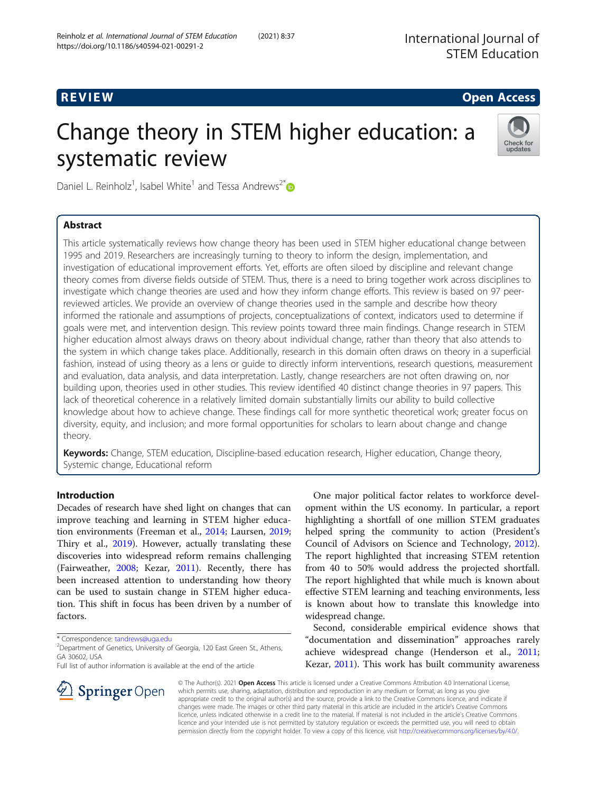# **REVIEW CONSTRUCTION CONSTRUCTION CONSTRUCTS**

# Change theory in STEM higher education: a systematic review



Daniel L. Reinholz<sup>1</sup>, Isabel White<sup>1</sup> and Tessa Andrews<sup>2[\\*](http://orcid.org/0000-0002-7008-6853)</sup>

# Abstract

This article systematically reviews how change theory has been used in STEM higher educational change between 1995 and 2019. Researchers are increasingly turning to theory to inform the design, implementation, and investigation of educational improvement efforts. Yet, efforts are often siloed by discipline and relevant change theory comes from diverse fields outside of STEM. Thus, there is a need to bring together work across disciplines to investigate which change theories are used and how they inform change efforts. This review is based on 97 peerreviewed articles. We provide an overview of change theories used in the sample and describe how theory informed the rationale and assumptions of projects, conceptualizations of context, indicators used to determine if goals were met, and intervention design. This review points toward three main findings. Change research in STEM higher education almost always draws on theory about individual change, rather than theory that also attends to the system in which change takes place. Additionally, research in this domain often draws on theory in a superficial fashion, instead of using theory as a lens or guide to directly inform interventions, research questions, measurement and evaluation, data analysis, and data interpretation. Lastly, change researchers are not often drawing on, nor building upon, theories used in other studies. This review identified 40 distinct change theories in 97 papers. This lack of theoretical coherence in a relatively limited domain substantially limits our ability to build collective knowledge about how to achieve change. These findings call for more synthetic theoretical work; greater focus on diversity, equity, and inclusion; and more formal opportunities for scholars to learn about change and change theory.

Keywords: Change, STEM education, Discipline-based education research, Higher education, Change theory, Systemic change, Educational reform

# Introduction

Decades of research have shed light on changes that can improve teaching and learning in STEM higher education environments (Freeman et al., [2014;](#page-19-0) Laursen, [2019](#page-20-0); Thiry et al., [2019\)](#page-21-0). However, actually translating these discoveries into widespread reform remains challenging (Fairweather, [2008;](#page-19-0) Kezar, [2011](#page-19-0)). Recently, there has been increased attention to understanding how theory can be used to sustain change in STEM higher education. This shift in focus has been driven by a number of factors.

Full list of author information is available at the end of the article



Second, considerable empirical evidence shows that "documentation and dissemination" approaches rarely achieve widespread change (Henderson et al., [2011](#page-19-0); Kezar, [2011](#page-19-0)). This work has built community awareness



© The Author(s). 2021 Open Access This article is licensed under a Creative Commons Attribution 4.0 International License, which permits use, sharing, adaptation, distribution and reproduction in any medium or format, as long as you give appropriate credit to the original author(s) and the source, provide a link to the Creative Commons licence, and indicate if changes were made. The images or other third party material in this article are included in the article's Creative Commons licence, unless indicated otherwise in a credit line to the material. If material is not included in the article's Creative Commons licence and your intended use is not permitted by statutory regulation or exceeds the permitted use, you will need to obtain permission directly from the copyright holder. To view a copy of this licence, visit <http://creativecommons.org/licenses/by/4.0/>.

<sup>\*</sup> Correspondence: [tandrews@uga.edu](mailto:tandrews@uga.edu) <sup>2</sup>

<sup>&</sup>lt;sup>2</sup> Department of Genetics, University of Georgia, 120 East Green St., Athens, GA 30602, USA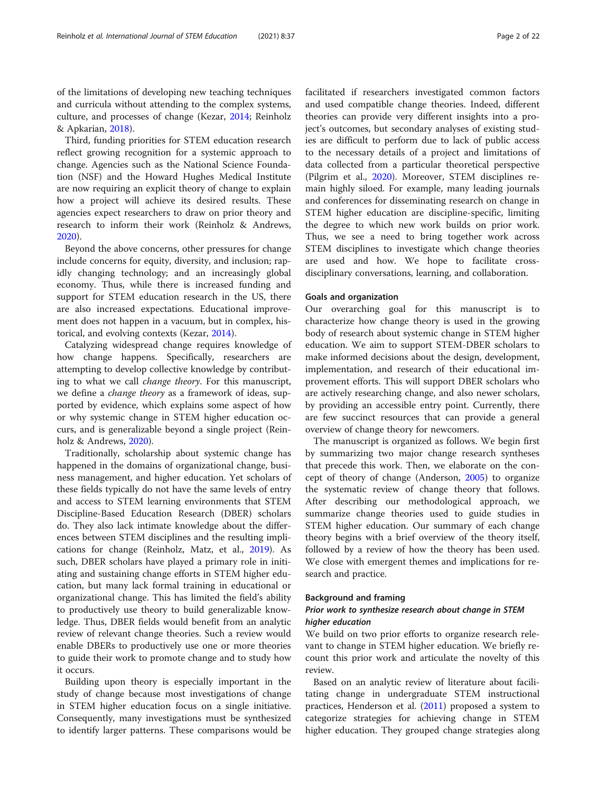of the limitations of developing new teaching techniques and curricula without attending to the complex systems, culture, and processes of change (Kezar, [2014;](#page-20-0) Reinholz & Apkarian, [2018](#page-20-0)).

Third, funding priorities for STEM education research reflect growing recognition for a systemic approach to change. Agencies such as the National Science Foundation (NSF) and the Howard Hughes Medical Institute are now requiring an explicit theory of change to explain how a project will achieve its desired results. These agencies expect researchers to draw on prior theory and research to inform their work (Reinholz & Andrews, [2020](#page-20-0)).

Beyond the above concerns, other pressures for change include concerns for equity, diversity, and inclusion; rapidly changing technology; and an increasingly global economy. Thus, while there is increased funding and support for STEM education research in the US, there are also increased expectations. Educational improvement does not happen in a vacuum, but in complex, historical, and evolving contexts (Kezar, [2014\)](#page-20-0).

Catalyzing widespread change requires knowledge of how change happens. Specifically, researchers are attempting to develop collective knowledge by contributing to what we call change theory. For this manuscript, we define a change theory as a framework of ideas, supported by evidence, which explains some aspect of how or why systemic change in STEM higher education occurs, and is generalizable beyond a single project (Reinholz & Andrews, [2020](#page-20-0)).

Traditionally, scholarship about systemic change has happened in the domains of organizational change, business management, and higher education. Yet scholars of these fields typically do not have the same levels of entry and access to STEM learning environments that STEM Discipline-Based Education Research (DBER) scholars do. They also lack intimate knowledge about the differences between STEM disciplines and the resulting implications for change (Reinholz, Matz, et al., [2019\)](#page-20-0). As such, DBER scholars have played a primary role in initiating and sustaining change efforts in STEM higher education, but many lack formal training in educational or organizational change. This has limited the field's ability to productively use theory to build generalizable knowledge. Thus, DBER fields would benefit from an analytic review of relevant change theories. Such a review would enable DBERs to productively use one or more theories to guide their work to promote change and to study how it occurs.

Building upon theory is especially important in the study of change because most investigations of change in STEM higher education focus on a single initiative. Consequently, many investigations must be synthesized to identify larger patterns. These comparisons would be facilitated if researchers investigated common factors and used compatible change theories. Indeed, different theories can provide very different insights into a project's outcomes, but secondary analyses of existing studies are difficult to perform due to lack of public access to the necessary details of a project and limitations of data collected from a particular theoretical perspective (Pilgrim et al., [2020](#page-20-0)). Moreover, STEM disciplines remain highly siloed. For example, many leading journals and conferences for disseminating research on change in STEM higher education are discipline-specific, limiting the degree to which new work builds on prior work. Thus, we see a need to bring together work across STEM disciplines to investigate which change theories are used and how. We hope to facilitate crossdisciplinary conversations, learning, and collaboration.

#### Goals and organization

Our overarching goal for this manuscript is to characterize how change theory is used in the growing body of research about systemic change in STEM higher education. We aim to support STEM-DBER scholars to make informed decisions about the design, development, implementation, and research of their educational improvement efforts. This will support DBER scholars who are actively researching change, and also newer scholars, by providing an accessible entry point. Currently, there are few succinct resources that can provide a general overview of change theory for newcomers.

The manuscript is organized as follows. We begin first by summarizing two major change research syntheses that precede this work. Then, we elaborate on the concept of theory of change (Anderson, [2005\)](#page-18-0) to organize the systematic review of change theory that follows. After describing our methodological approach, we summarize change theories used to guide studies in STEM higher education. Our summary of each change theory begins with a brief overview of the theory itself, followed by a review of how the theory has been used. We close with emergent themes and implications for research and practice.

#### Background and framing

# Prior work to synthesize research about change in STEM higher education

We build on two prior efforts to organize research relevant to change in STEM higher education. We briefly recount this prior work and articulate the novelty of this review.

Based on an analytic review of literature about facilitating change in undergraduate STEM instructional practices, Henderson et al. ([2011](#page-19-0)) proposed a system to categorize strategies for achieving change in STEM higher education. They grouped change strategies along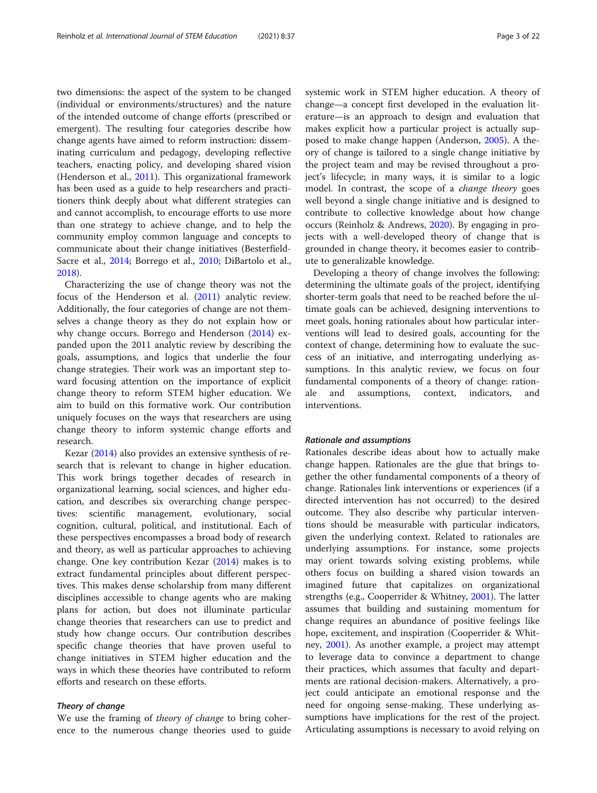two dimensions: the aspect of the system to be changed (individual or environments/structures) and the nature of the intended outcome of change efforts (prescribed or emergent). The resulting four categories describe how change agents have aimed to reform instruction: disseminating curriculum and pedagogy, developing reflective teachers, enacting policy, and developing shared vision (Henderson et al., [2011](#page-19-0)). This organizational framework has been used as a guide to help researchers and practitioners think deeply about what different strategies can and cannot accomplish, to encourage efforts to use more than one strategy to achieve change, and to help the community employ common language and concepts to communicate about their change initiatives (Besterfield-Sacre et al., [2014;](#page-18-0) Borrego et al., [2010](#page-18-0); DiBartolo et al., [2018](#page-19-0)).

Characterizing the use of change theory was not the focus of the Henderson et al. ([2011\)](#page-19-0) analytic review. Additionally, the four categories of change are not themselves a change theory as they do not explain how or why change occurs. Borrego and Henderson ([2014\)](#page-18-0) expanded upon the 2011 analytic review by describing the goals, assumptions, and logics that underlie the four change strategies. Their work was an important step toward focusing attention on the importance of explicit change theory to reform STEM higher education. We aim to build on this formative work. Our contribution uniquely focuses on the ways that researchers are using change theory to inform systemic change efforts and research.

Kezar [\(2014\)](#page-20-0) also provides an extensive synthesis of research that is relevant to change in higher education. This work brings together decades of research in organizational learning, social sciences, and higher education, and describes six overarching change perspectives: scientific management, evolutionary, social cognition, cultural, political, and institutional. Each of these perspectives encompasses a broad body of research and theory, as well as particular approaches to achieving change. One key contribution Kezar ([2014](#page-20-0)) makes is to extract fundamental principles about different perspectives. This makes dense scholarship from many different disciplines accessible to change agents who are making plans for action, but does not illuminate particular change theories that researchers can use to predict and study how change occurs. Our contribution describes specific change theories that have proven useful to change initiatives in STEM higher education and the ways in which these theories have contributed to reform efforts and research on these efforts.

## Theory of change

We use the framing of *theory of change* to bring coherence to the numerous change theories used to guide systemic work in STEM higher education. A theory of change—a concept first developed in the evaluation literature—is an approach to design and evaluation that makes explicit how a particular project is actually supposed to make change happen (Anderson, [2005\)](#page-18-0). A theory of change is tailored to a single change initiative by the project team and may be revised throughout a project's lifecycle; in many ways, it is similar to a logic model. In contrast, the scope of a change theory goes well beyond a single change initiative and is designed to contribute to collective knowledge about how change occurs (Reinholz & Andrews, [2020](#page-20-0)). By engaging in projects with a well-developed theory of change that is grounded in change theory, it becomes easier to contribute to generalizable knowledge.

Developing a theory of change involves the following: determining the ultimate goals of the project, identifying shorter-term goals that need to be reached before the ultimate goals can be achieved, designing interventions to meet goals, honing rationales about how particular interventions will lead to desired goals, accounting for the context of change, determining how to evaluate the success of an initiative, and interrogating underlying assumptions. In this analytic review, we focus on four fundamental components of a theory of change: rationand assumptions, context, indicators, and interventions.

#### Rationale and assumptions

Rationales describe ideas about how to actually make change happen. Rationales are the glue that brings together the other fundamental components of a theory of change. Rationales link interventions or experiences (if a directed intervention has not occurred) to the desired outcome. They also describe why particular interventions should be measurable with particular indicators, given the underlying context. Related to rationales are underlying assumptions. For instance, some projects may orient towards solving existing problems, while others focus on building a shared vision towards an imagined future that capitalizes on organizational strengths (e.g., Cooperrider & Whitney, [2001\)](#page-19-0). The latter assumes that building and sustaining momentum for change requires an abundance of positive feelings like hope, excitement, and inspiration (Cooperrider & Whitney, [2001\)](#page-19-0). As another example, a project may attempt to leverage data to convince a department to change their practices, which assumes that faculty and departments are rational decision-makers. Alternatively, a project could anticipate an emotional response and the need for ongoing sense-making. These underlying assumptions have implications for the rest of the project. Articulating assumptions is necessary to avoid relying on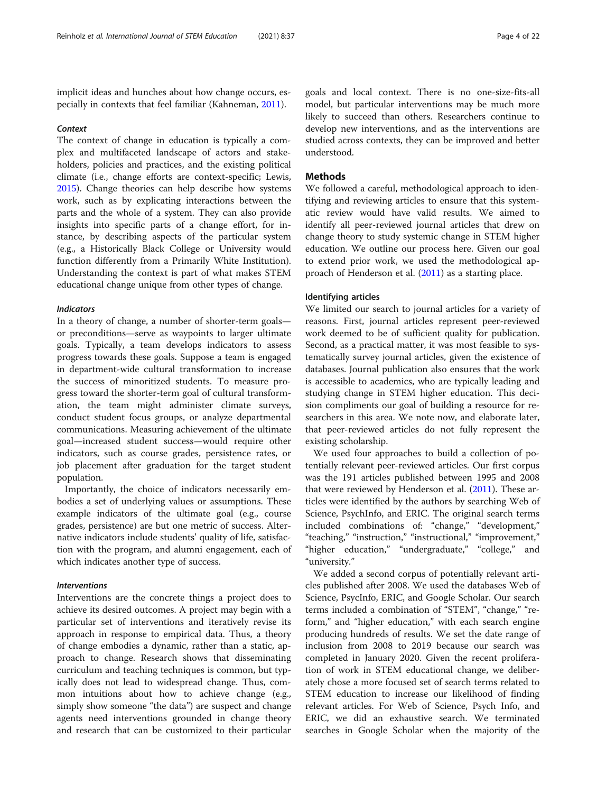implicit ideas and hunches about how change occurs, especially in contexts that feel familiar (Kahneman, [2011](#page-19-0)).

#### **Context**

The context of change in education is typically a complex and multifaceted landscape of actors and stakeholders, policies and practices, and the existing political climate (i.e., change efforts are context-specific; Lewis, [2015](#page-20-0)). Change theories can help describe how systems work, such as by explicating interactions between the parts and the whole of a system. They can also provide insights into specific parts of a change effort, for instance, by describing aspects of the particular system (e.g., a Historically Black College or University would function differently from a Primarily White Institution). Understanding the context is part of what makes STEM educational change unique from other types of change.

### Indicators

In a theory of change, a number of shorter-term goals or preconditions—serve as waypoints to larger ultimate goals. Typically, a team develops indicators to assess progress towards these goals. Suppose a team is engaged in department-wide cultural transformation to increase the success of minoritized students. To measure progress toward the shorter-term goal of cultural transformation, the team might administer climate surveys, conduct student focus groups, or analyze departmental communications. Measuring achievement of the ultimate goal—increased student success—would require other indicators, such as course grades, persistence rates, or job placement after graduation for the target student population.

Importantly, the choice of indicators necessarily embodies a set of underlying values or assumptions. These example indicators of the ultimate goal (e.g., course grades, persistence) are but one metric of success. Alternative indicators include students' quality of life, satisfaction with the program, and alumni engagement, each of which indicates another type of success.

# Interventions

Interventions are the concrete things a project does to achieve its desired outcomes. A project may begin with a particular set of interventions and iteratively revise its approach in response to empirical data. Thus, a theory of change embodies a dynamic, rather than a static, approach to change. Research shows that disseminating curriculum and teaching techniques is common, but typically does not lead to widespread change. Thus, common intuitions about how to achieve change (e.g., simply show someone "the data") are suspect and change agents need interventions grounded in change theory and research that can be customized to their particular

goals and local context. There is no one-size-fits-all model, but particular interventions may be much more likely to succeed than others. Researchers continue to develop new interventions, and as the interventions are studied across contexts, they can be improved and better understood.

# Methods

We followed a careful, methodological approach to identifying and reviewing articles to ensure that this systematic review would have valid results. We aimed to identify all peer-reviewed journal articles that drew on change theory to study systemic change in STEM higher education. We outline our process here. Given our goal to extend prior work, we used the methodological approach of Henderson et al. [\(2011\)](#page-19-0) as a starting place.

# Identifying articles

We limited our search to journal articles for a variety of reasons. First, journal articles represent peer-reviewed work deemed to be of sufficient quality for publication. Second, as a practical matter, it was most feasible to systematically survey journal articles, given the existence of databases. Journal publication also ensures that the work is accessible to academics, who are typically leading and studying change in STEM higher education. This decision compliments our goal of building a resource for researchers in this area. We note now, and elaborate later, that peer-reviewed articles do not fully represent the existing scholarship.

We used four approaches to build a collection of potentially relevant peer-reviewed articles. Our first corpus was the 191 articles published between 1995 and 2008 that were reviewed by Henderson et al. ([2011](#page-19-0)). These articles were identified by the authors by searching Web of Science, PsychInfo, and ERIC. The original search terms included combinations of: "change," "development," "teaching," "instruction," "instructional," "improvement," "higher education," "undergraduate," "college," and "university."

We added a second corpus of potentially relevant articles published after 2008. We used the databases Web of Science, PsycInfo, ERIC, and Google Scholar. Our search terms included a combination of "STEM", "change," "reform," and "higher education," with each search engine producing hundreds of results. We set the date range of inclusion from 2008 to 2019 because our search was completed in January 2020. Given the recent proliferation of work in STEM educational change, we deliberately chose a more focused set of search terms related to STEM education to increase our likelihood of finding relevant articles. For Web of Science, Psych Info, and ERIC, we did an exhaustive search. We terminated searches in Google Scholar when the majority of the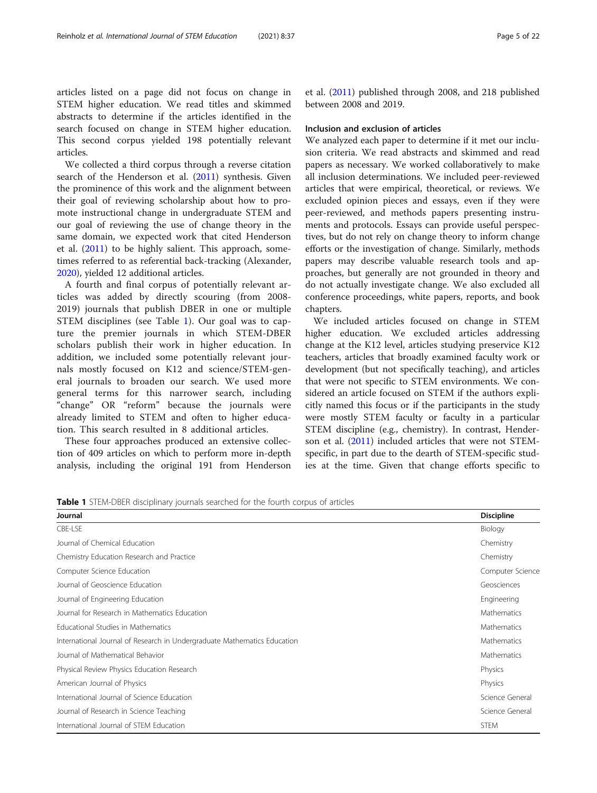articles listed on a page did not focus on change in STEM higher education. We read titles and skimmed abstracts to determine if the articles identified in the search focused on change in STEM higher education. This second corpus yielded 198 potentially relevant articles.

We collected a third corpus through a reverse citation search of the Henderson et al. ([2011](#page-19-0)) synthesis. Given the prominence of this work and the alignment between their goal of reviewing scholarship about how to promote instructional change in undergraduate STEM and our goal of reviewing the use of change theory in the same domain, we expected work that cited Henderson et al. ([2011](#page-19-0)) to be highly salient. This approach, sometimes referred to as referential back-tracking (Alexander, [2020](#page-18-0)), yielded 12 additional articles.

A fourth and final corpus of potentially relevant articles was added by directly scouring (from 2008- 2019) journals that publish DBER in one or multiple STEM disciplines (see Table 1). Our goal was to capture the premier journals in which STEM-DBER scholars publish their work in higher education. In addition, we included some potentially relevant journals mostly focused on K12 and science/STEM-general journals to broaden our search. We used more general terms for this narrower search, including "change" OR "reform" because the journals were already limited to STEM and often to higher education. This search resulted in 8 additional articles.

These four approaches produced an extensive collection of 409 articles on which to perform more in-depth analysis, including the original 191 from Henderson

et al. ([2011](#page-19-0)) published through 2008, and 218 published between 2008 and 2019.

# Inclusion and exclusion of articles

We analyzed each paper to determine if it met our inclusion criteria. We read abstracts and skimmed and read papers as necessary. We worked collaboratively to make all inclusion determinations. We included peer-reviewed articles that were empirical, theoretical, or reviews. We excluded opinion pieces and essays, even if they were peer-reviewed, and methods papers presenting instruments and protocols. Essays can provide useful perspectives, but do not rely on change theory to inform change efforts or the investigation of change. Similarly, methods papers may describe valuable research tools and approaches, but generally are not grounded in theory and do not actually investigate change. We also excluded all conference proceedings, white papers, reports, and book chapters.

We included articles focused on change in STEM higher education. We excluded articles addressing change at the K12 level, articles studying preservice K12 teachers, articles that broadly examined faculty work or development (but not specifically teaching), and articles that were not specific to STEM environments. We considered an article focused on STEM if the authors explicitly named this focus or if the participants in the study were mostly STEM faculty or faculty in a particular STEM discipline (e.g., chemistry). In contrast, Henderson et al. [\(2011\)](#page-19-0) included articles that were not STEMspecific, in part due to the dearth of STEM-specific studies at the time. Given that change efforts specific to

Table 1 STEM-DBER disciplinary journals searched for the fourth corpus of articles

| Journal                                                                  | <b>Discipline</b> |
|--------------------------------------------------------------------------|-------------------|
| CBE-LSE                                                                  | Biology           |
| Journal of Chemical Education                                            | Chemistry         |
| Chemistry Education Research and Practice                                | Chemistry         |
| Computer Science Education                                               | Computer Science  |
| Journal of Geoscience Education                                          | Geosciences       |
| Journal of Engineering Education                                         | Engineering       |
| Journal for Research in Mathematics Education                            | Mathematics       |
| Educational Studies in Mathematics                                       | Mathematics       |
| International Journal of Research in Undergraduate Mathematics Education | Mathematics       |
| Journal of Mathematical Behavior                                         | Mathematics       |
| Physical Review Physics Education Research                               | Physics           |
| American Journal of Physics                                              | Physics           |
| International Journal of Science Education                               | Science General   |
| Journal of Research in Science Teaching                                  | Science General   |
| International Journal of STEM Education                                  | <b>STEM</b>       |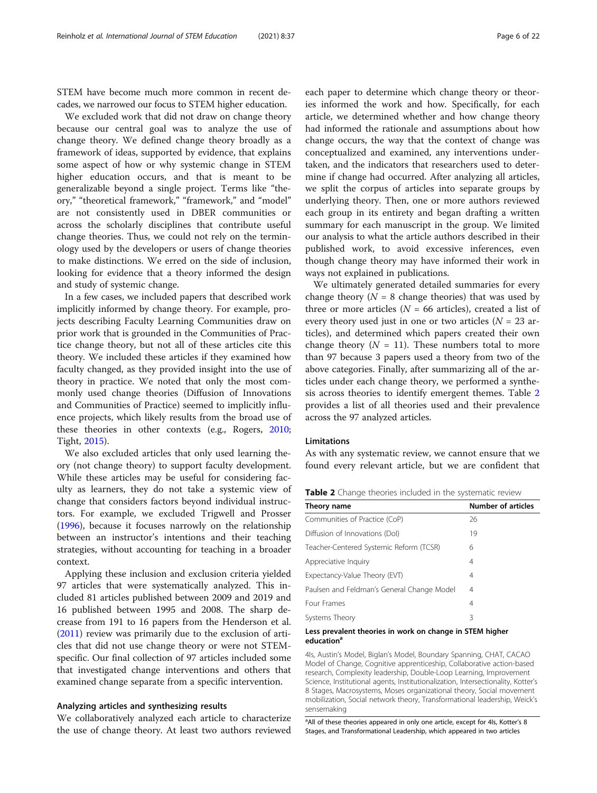STEM have become much more common in recent decades, we narrowed our focus to STEM higher education.

We excluded work that did not draw on change theory because our central goal was to analyze the use of change theory. We defined change theory broadly as a framework of ideas, supported by evidence, that explains some aspect of how or why systemic change in STEM higher education occurs, and that is meant to be generalizable beyond a single project. Terms like "theory," "theoretical framework," "framework," and "model" are not consistently used in DBER communities or across the scholarly disciplines that contribute useful change theories. Thus, we could not rely on the terminology used by the developers or users of change theories to make distinctions. We erred on the side of inclusion, looking for evidence that a theory informed the design and study of systemic change.

In a few cases, we included papers that described work implicitly informed by change theory. For example, projects describing Faculty Learning Communities draw on prior work that is grounded in the Communities of Practice change theory, but not all of these articles cite this theory. We included these articles if they examined how faculty changed, as they provided insight into the use of theory in practice. We noted that only the most commonly used change theories (Diffusion of Innovations and Communities of Practice) seemed to implicitly influence projects, which likely results from the broad use of these theories in other contexts (e.g., Rogers, [2010](#page-20-0); Tight, [2015\)](#page-21-0).

We also excluded articles that only used learning theory (not change theory) to support faculty development. While these articles may be useful for considering faculty as learners, they do not take a systemic view of change that considers factors beyond individual instructors. For example, we excluded Trigwell and Prosser ([1996](#page-21-0)), because it focuses narrowly on the relationship between an instructor's intentions and their teaching strategies, without accounting for teaching in a broader context.

Applying these inclusion and exclusion criteria yielded 97 articles that were systematically analyzed. This included 81 articles published between 2009 and 2019 and 16 published between 1995 and 2008. The sharp decrease from 191 to 16 papers from the Henderson et al. ([2011](#page-19-0)) review was primarily due to the exclusion of articles that did not use change theory or were not STEMspecific. Our final collection of 97 articles included some that investigated change interventions and others that examined change separate from a specific intervention.

#### Analyzing articles and synthesizing results

We collaboratively analyzed each article to characterize the use of change theory. At least two authors reviewed each paper to determine which change theory or theories informed the work and how. Specifically, for each article, we determined whether and how change theory had informed the rationale and assumptions about how change occurs, the way that the context of change was conceptualized and examined, any interventions undertaken, and the indicators that researchers used to determine if change had occurred. After analyzing all articles, we split the corpus of articles into separate groups by underlying theory. Then, one or more authors reviewed each group in its entirety and began drafting a written summary for each manuscript in the group. We limited our analysis to what the article authors described in their published work, to avoid excessive inferences, even though change theory may have informed their work in ways not explained in publications.

We ultimately generated detailed summaries for every change theory ( $N = 8$  change theories) that was used by three or more articles ( $N = 66$  articles), created a list of every theory used just in one or two articles  $(N = 23$  articles), and determined which papers created their own change theory ( $N = 11$ ). These numbers total to more than 97 because 3 papers used a theory from two of the above categories. Finally, after summarizing all of the articles under each change theory, we performed a synthesis across theories to identify emergent themes. Table 2 provides a list of all theories used and their prevalence across the 97 analyzed articles.

# Limitations

As with any systematic review, we cannot ensure that we found every relevant article, but we are confident that

| Table 2 Change theories included in the systematic review |  |  |  |
|-----------------------------------------------------------|--|--|--|
|-----------------------------------------------------------|--|--|--|

| Theory name                                | <b>Number of articles</b> |
|--------------------------------------------|---------------------------|
| Communities of Practice (CoP)              | 26                        |
| Diffusion of Innovations (Dol)             | 19                        |
| Teacher-Centered Systemic Reform (TCSR)    | 6                         |
| Appreciative Inquiry                       | 4                         |
| Expectancy-Value Theory (EVT)              | 4                         |
| Paulsen and Feldman's General Change Model | 4                         |
| Four Frames                                | 4                         |
| Systems Theory                             | 3                         |

#### Less prevalent theories in work on change in STEM higher education<sup>®</sup>

4Is, Austin's Model, Biglan's Model, Boundary Spanning, CHAT, CACAO Model of Change, Cognitive apprenticeship, Collaborative action-based research, Complexity leadership, Double-Loop Learning, Improvement Science, Institutional agents, Institutionalization, Intersectionality, Kotter's 8 Stages, Macrosystems, Moses organizational theory, Social movement mobilization, Social network theory, Transformational leadership, Weick's sensemaking

<sup>a</sup> All of these theories appeared in only one article, except for 4ls, Kotter's 8 Stages, and Transformational Leadership, which appeared in two articles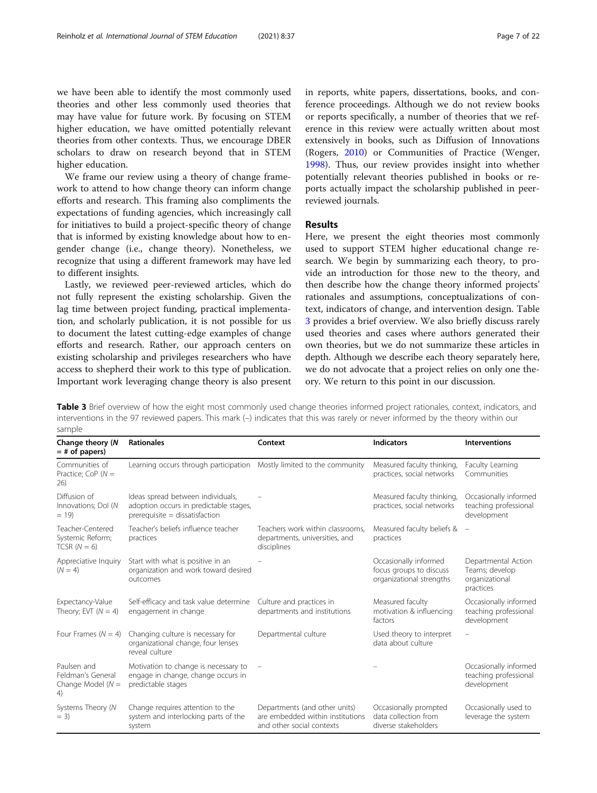we have been able to identify the most commonly used theories and other less commonly used theories that may have value for future work. By focusing on STEM higher education, we have omitted potentially relevant theories from other contexts. Thus, we encourage DBER scholars to draw on research beyond that in STEM higher education.

We frame our review using a theory of change framework to attend to how change theory can inform change efforts and research. This framing also compliments the expectations of funding agencies, which increasingly call for initiatives to build a project-specific theory of change that is informed by existing knowledge about how to engender change (i.e., change theory). Nonetheless, we recognize that using a different framework may have led to different insights.

Lastly, we reviewed peer-reviewed articles, which do not fully represent the existing scholarship. Given the lag time between project funding, practical implementation, and scholarly publication, it is not possible for us to document the latest cutting-edge examples of change efforts and research. Rather, our approach centers on existing scholarship and privileges researchers who have access to shepherd their work to this type of publication. Important work leveraging change theory is also present in reports, white papers, dissertations, books, and conference proceedings. Although we do not review books or reports specifically, a number of theories that we reference in this review were actually written about most extensively in books, such as Diffusion of Innovations (Rogers, [2010](#page-20-0)) or Communities of Practice (Wenger, [1998](#page-21-0)). Thus, our review provides insight into whether potentially relevant theories published in books or reports actually impact the scholarship published in peerreviewed journals.

# Results

Here, we present the eight theories most commonly used to support STEM higher educational change research. We begin by summarizing each theory, to provide an introduction for those new to the theory, and then describe how the change theory informed projects' rationales and assumptions, conceptualizations of context, indicators of change, and intervention design. Table 3 provides a brief overview. We also briefly discuss rarely used theories and cases where authors generated their own theories, but we do not summarize these articles in depth. Although we describe each theory separately here, we do not advocate that a project relies on only one theory. We return to this point in our discussion.

Table 3 Brief overview of how the eight most commonly used change theories informed project rationales, context, indicators, and interventions in the 97 reviewed papers. This mark (–) indicates that this was rarely or never informed by the theory within our sample

| Change theory (N<br>= # of papers)                             | <b>Rationales</b>                                                                                              | Context                                                                                        | <b>Indicators</b>                                                            | <b>Interventions</b>                                                 |
|----------------------------------------------------------------|----------------------------------------------------------------------------------------------------------------|------------------------------------------------------------------------------------------------|------------------------------------------------------------------------------|----------------------------------------------------------------------|
| Communities of<br>Practice; CoP $(N =$<br>26)                  | Learning occurs through participation Mostly limited to the community                                          |                                                                                                | Measured faculty thinking,<br>practices, social networks                     | Faculty Learning<br>Communities                                      |
| Diffusion of<br>Innovations; Dol (N<br>$= 19$                  | Ideas spread between individuals,<br>adoption occurs in predictable stages,<br>$preequisite = dissatification$ |                                                                                                | Measured faculty thinking,<br>practices, social networks                     | Occasionally informed<br>teaching professional<br>development        |
| Teacher-Centered<br>Systemic Reform;<br>$TCSR (N = 6)$         | Teacher's beliefs influence teacher<br>practices                                                               | Teachers work within classrooms.<br>departments, universities, and<br>disciplines              | Measured faculty beliefs &<br>practices                                      | $\overline{\phantom{a}}$                                             |
| Appreciative Inquiry<br>$(N = 4)$                              | Start with what is positive in an<br>organization and work toward desired<br>outcomes                          |                                                                                                | Occasionally informed<br>focus groups to discuss<br>organizational strengths | Departmental Action<br>Teams; develop<br>organizational<br>practices |
| Expectancy-Value<br>Theory; EVT $(N = 4)$                      | Self-efficacy and task value determine<br>engagement in change                                                 | Culture and practices in<br>departments and institutions                                       | Measured faculty<br>motivation & influencing<br>factors                      | Occasionally informed<br>teaching professional<br>development        |
| Four Frames ( $N = 4$ )                                        | Changing culture is necessary for<br>organizational change, four lenses<br>reveal culture                      | Departmental culture                                                                           | Used theory to interpret<br>data about culture                               |                                                                      |
| Paulsen and<br>Feldman's General<br>Change Model ( $N =$<br>4) | Motivation to change is necessary to<br>engage in change, change occurs in<br>predictable stages               | $\overline{\phantom{0}}$                                                                       |                                                                              | Occasionally informed<br>teaching professional<br>development        |
| Systems Theory (N<br>$= 3)$                                    | Change requires attention to the<br>system and interlocking parts of the<br>system                             | Departments (and other units)<br>are embedded within institutions<br>and other social contexts | Occasionally prompted<br>data collection from<br>diverse stakeholders        | Occasionally used to<br>leverage the system                          |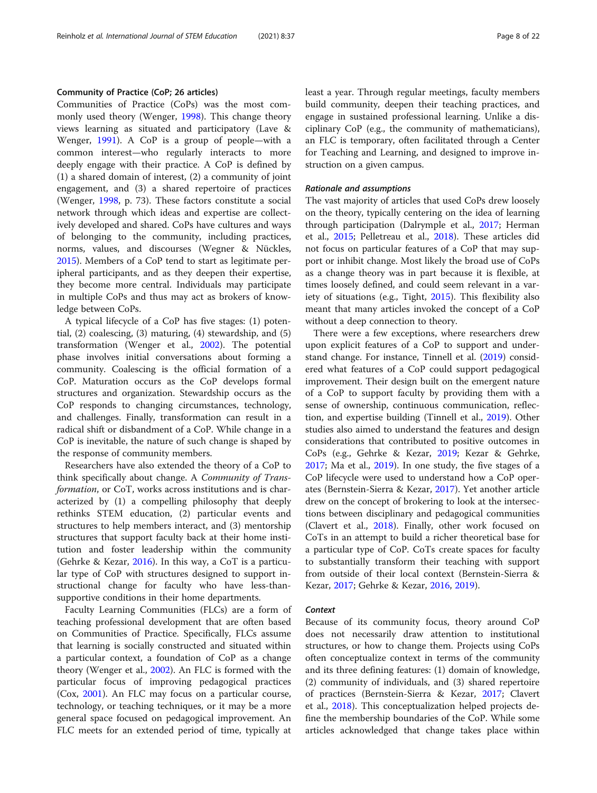# Community of Practice (CoP; 26 articles)

Communities of Practice (CoPs) was the most commonly used theory (Wenger, [1998](#page-21-0)). This change theory views learning as situated and participatory (Lave & Wenger, [1991](#page-20-0)). A CoP is a group of people—with a common interest—who regularly interacts to more deeply engage with their practice. A CoP is defined by (1) a shared domain of interest, (2) a community of joint engagement, and (3) a shared repertoire of practices (Wenger, [1998](#page-21-0), p. 73). These factors constitute a social network through which ideas and expertise are collectively developed and shared. CoPs have cultures and ways of belonging to the community, including practices, norms, values, and discourses (Wegner & Nückles, [2015](#page-21-0)). Members of a CoP tend to start as legitimate peripheral participants, and as they deepen their expertise, they become more central. Individuals may participate in multiple CoPs and thus may act as brokers of knowledge between CoPs.

A typical lifecycle of a CoP has five stages: (1) potential, (2) coalescing, (3) maturing, (4) stewardship, and (5) transformation (Wenger et al., [2002](#page-21-0)). The potential phase involves initial conversations about forming a community. Coalescing is the official formation of a CoP. Maturation occurs as the CoP develops formal structures and organization. Stewardship occurs as the CoP responds to changing circumstances, technology, and challenges. Finally, transformation can result in a radical shift or disbandment of a CoP. While change in a CoP is inevitable, the nature of such change is shaped by the response of community members.

Researchers have also extended the theory of a CoP to think specifically about change. A Community of Transformation, or CoT, works across institutions and is characterized by (1) a compelling philosophy that deeply rethinks STEM education, (2) particular events and structures to help members interact, and (3) mentorship structures that support faculty back at their home institution and foster leadership within the community (Gehrke & Kezar, [2016\)](#page-19-0). In this way, a CoT is a particular type of CoP with structures designed to support instructional change for faculty who have less-thansupportive conditions in their home departments.

Faculty Learning Communities (FLCs) are a form of teaching professional development that are often based on Communities of Practice. Specifically, FLCs assume that learning is socially constructed and situated within a particular context, a foundation of CoP as a change theory (Wenger et al., [2002\)](#page-21-0). An FLC is formed with the particular focus of improving pedagogical practices (Cox, [2001](#page-19-0)). An FLC may focus on a particular course, technology, or teaching techniques, or it may be a more general space focused on pedagogical improvement. An FLC meets for an extended period of time, typically at

least a year. Through regular meetings, faculty members build community, deepen their teaching practices, and engage in sustained professional learning. Unlike a disciplinary CoP (e.g., the community of mathematicians), an FLC is temporary, often facilitated through a Center for Teaching and Learning, and designed to improve instruction on a given campus.

#### Rationale and assumptions

The vast majority of articles that used CoPs drew loosely on the theory, typically centering on the idea of learning through participation (Dalrymple et al., [2017;](#page-19-0) Herman et al., [2015;](#page-19-0) Pelletreau et al., [2018\)](#page-20-0). These articles did not focus on particular features of a CoP that may support or inhibit change. Most likely the broad use of CoPs as a change theory was in part because it is flexible, at times loosely defined, and could seem relevant in a variety of situations (e.g., Tight, [2015\)](#page-21-0). This flexibility also meant that many articles invoked the concept of a CoP without a deep connection to theory.

There were a few exceptions, where researchers drew upon explicit features of a CoP to support and understand change. For instance, Tinnell et al. [\(2019\)](#page-21-0) considered what features of a CoP could support pedagogical improvement. Their design built on the emergent nature of a CoP to support faculty by providing them with a sense of ownership, continuous communication, reflection, and expertise building (Tinnell et al., [2019](#page-21-0)). Other studies also aimed to understand the features and design considerations that contributed to positive outcomes in CoPs (e.g., Gehrke & Kezar, [2019](#page-19-0); Kezar & Gehrke, [2017](#page-20-0); Ma et al., [2019\)](#page-20-0). In one study, the five stages of a CoP lifecycle were used to understand how a CoP operates (Bernstein-Sierra & Kezar, [2017\)](#page-18-0). Yet another article drew on the concept of brokering to look at the intersections between disciplinary and pedagogical communities (Clavert et al., [2018](#page-19-0)). Finally, other work focused on CoTs in an attempt to build a richer theoretical base for a particular type of CoP. CoTs create spaces for faculty to substantially transform their teaching with support from outside of their local context (Bernstein-Sierra & Kezar, [2017;](#page-18-0) Gehrke & Kezar, [2016,](#page-19-0) [2019\)](#page-19-0).

#### **Context**

Because of its community focus, theory around CoP does not necessarily draw attention to institutional structures, or how to change them. Projects using CoPs often conceptualize context in terms of the community and its three defining features: (1) domain of knowledge, (2) community of individuals, and (3) shared repertoire of practices (Bernstein-Sierra & Kezar, [2017;](#page-18-0) Clavert et al., [2018](#page-19-0)). This conceptualization helped projects define the membership boundaries of the CoP. While some articles acknowledged that change takes place within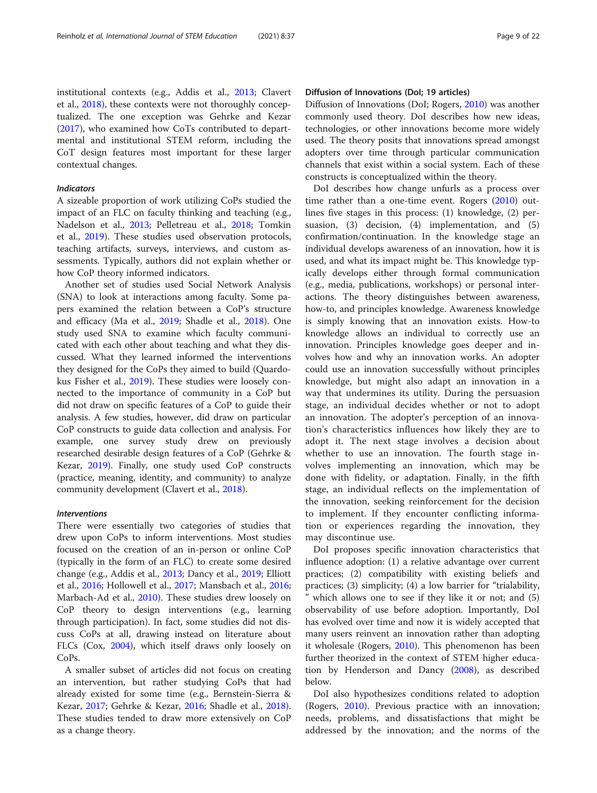institutional contexts (e.g., Addis et al., [2013;](#page-18-0) Clavert et al., [2018](#page-19-0)), these contexts were not thoroughly conceptualized. The one exception was Gehrke and Kezar ([2017](#page-19-0)), who examined how CoTs contributed to departmental and institutional STEM reform, including the CoT design features most important for these larger contextual changes.

#### Indicators

A sizeable proportion of work utilizing CoPs studied the impact of an FLC on faculty thinking and teaching (e.g., Nadelson et al., [2013;](#page-20-0) Pelletreau et al., [2018;](#page-20-0) Tomkin et al., [2019](#page-21-0)). These studies used observation protocols, teaching artifacts, surveys, interviews, and custom assessments. Typically, authors did not explain whether or how CoP theory informed indicators.

Another set of studies used Social Network Analysis (SNA) to look at interactions among faculty. Some papers examined the relation between a CoP's structure and efficacy (Ma et al., [2019;](#page-20-0) Shadle et al., [2018](#page-20-0)). One study used SNA to examine which faculty communicated with each other about teaching and what they discussed. What they learned informed the interventions they designed for the CoPs they aimed to build (Quardokus Fisher et al., [2019\)](#page-20-0). These studies were loosely connected to the importance of community in a CoP but did not draw on specific features of a CoP to guide their analysis. A few studies, however, did draw on particular CoP constructs to guide data collection and analysis. For example, one survey study drew on previously researched desirable design features of a CoP (Gehrke & Kezar, [2019](#page-19-0)). Finally, one study used CoP constructs (practice, meaning, identity, and community) to analyze community development (Clavert et al., [2018\)](#page-19-0).

# Interventions

There were essentially two categories of studies that drew upon CoPs to inform interventions. Most studies focused on the creation of an in-person or online CoP (typically in the form of an FLC) to create some desired change (e.g., Addis et al., [2013;](#page-18-0) Dancy et al., [2019;](#page-19-0) Elliott et al., [2016](#page-19-0); Hollowell et al., [2017;](#page-19-0) Mansbach et al., [2016](#page-20-0); Marbach-Ad et al., [2010](#page-20-0)). These studies drew loosely on CoP theory to design interventions (e.g., learning through participation). In fact, some studies did not discuss CoPs at all, drawing instead on literature about FLCs (Cox, [2004\)](#page-19-0), which itself draws only loosely on CoPs.

A smaller subset of articles did not focus on creating an intervention, but rather studying CoPs that had already existed for some time (e.g., Bernstein-Sierra & Kezar, [2017](#page-18-0); Gehrke & Kezar, [2016;](#page-19-0) Shadle et al., [2018](#page-20-0)). These studies tended to draw more extensively on CoP as a change theory.

# Diffusion of Innovations (DoI; 19 articles)

Diffusion of Innovations (DoI; Rogers, [2010](#page-20-0)) was another commonly used theory. DoI describes how new ideas, technologies, or other innovations become more widely used. The theory posits that innovations spread amongst adopters over time through particular communication channels that exist within a social system. Each of these constructs is conceptualized within the theory.

DoI describes how change unfurls as a process over time rather than a one-time event. Rogers [\(2010\)](#page-20-0) outlines five stages in this process: (1) knowledge, (2) persuasion, (3) decision, (4) implementation, and (5) confirmation/continuation. In the knowledge stage an individual develops awareness of an innovation, how it is used, and what its impact might be. This knowledge typically develops either through formal communication (e.g., media, publications, workshops) or personal interactions. The theory distinguishes between awareness, how-to, and principles knowledge. Awareness knowledge is simply knowing that an innovation exists. How-to knowledge allows an individual to correctly use an innovation. Principles knowledge goes deeper and involves how and why an innovation works. An adopter could use an innovation successfully without principles knowledge, but might also adapt an innovation in a way that undermines its utility. During the persuasion stage, an individual decides whether or not to adopt an innovation. The adopter's perception of an innovation's characteristics influences how likely they are to adopt it. The next stage involves a decision about whether to use an innovation. The fourth stage involves implementing an innovation, which may be done with fidelity, or adaptation. Finally, in the fifth stage, an individual reflects on the implementation of the innovation, seeking reinforcement for the decision to implement. If they encounter conflicting information or experiences regarding the innovation, they may discontinue use.

DoI proposes specific innovation characteristics that influence adoption: (1) a relative advantage over current practices; (2) compatibility with existing beliefs and practices; (3) simplicity; (4) a low barrier for "trialability, " which allows one to see if they like it or not; and (5) observability of use before adoption. Importantly, DoI has evolved over time and now it is widely accepted that many users reinvent an innovation rather than adopting it wholesale (Rogers, [2010\)](#page-20-0). This phenomenon has been further theorized in the context of STEM higher education by Henderson and Dancy [\(2008\)](#page-19-0), as described below.

DoI also hypothesizes conditions related to adoption (Rogers, [2010](#page-20-0)). Previous practice with an innovation; needs, problems, and dissatisfactions that might be addressed by the innovation; and the norms of the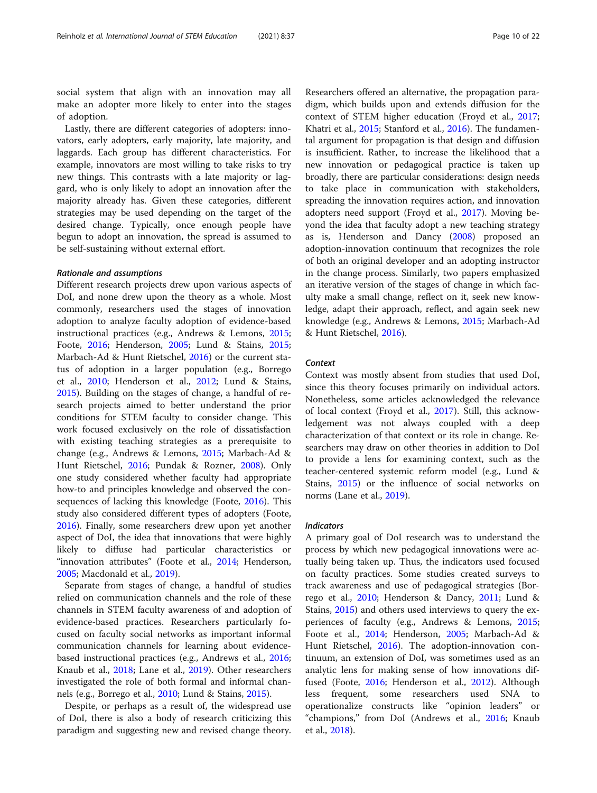social system that align with an innovation may all make an adopter more likely to enter into the stages of adoption.

Lastly, there are different categories of adopters: innovators, early adopters, early majority, late majority, and laggards. Each group has different characteristics. For example, innovators are most willing to take risks to try new things. This contrasts with a late majority or laggard, who is only likely to adopt an innovation after the majority already has. Given these categories, different strategies may be used depending on the target of the desired change. Typically, once enough people have begun to adopt an innovation, the spread is assumed to be self-sustaining without external effort.

#### Rationale and assumptions

Different research projects drew upon various aspects of DoI, and none drew upon the theory as a whole. Most commonly, researchers used the stages of innovation adoption to analyze faculty adoption of evidence-based instructional practices (e.g., Andrews & Lemons, [2015](#page-18-0); Foote, [2016](#page-19-0); Henderson, [2005;](#page-19-0) Lund & Stains, [2015](#page-20-0); Marbach-Ad & Hunt Rietschel, [2016](#page-20-0)) or the current status of adoption in a larger population (e.g., Borrego et al., [2010;](#page-18-0) Henderson et al., [2012;](#page-19-0) Lund & Stains, [2015](#page-20-0)). Building on the stages of change, a handful of research projects aimed to better understand the prior conditions for STEM faculty to consider change. This work focused exclusively on the role of dissatisfaction with existing teaching strategies as a prerequisite to change (e.g., Andrews & Lemons, [2015](#page-18-0); Marbach-Ad & Hunt Rietschel, [2016](#page-20-0); Pundak & Rozner, [2008\)](#page-20-0). Only one study considered whether faculty had appropriate how-to and principles knowledge and observed the consequences of lacking this knowledge (Foote, [2016](#page-19-0)). This study also considered different types of adopters (Foote, [2016](#page-19-0)). Finally, some researchers drew upon yet another aspect of DoI, the idea that innovations that were highly likely to diffuse had particular characteristics or "innovation attributes" (Foote et al., [2014](#page-19-0); Henderson, [2005](#page-19-0); Macdonald et al., [2019\)](#page-20-0).

Separate from stages of change, a handful of studies relied on communication channels and the role of these channels in STEM faculty awareness of and adoption of evidence-based practices. Researchers particularly focused on faculty social networks as important informal communication channels for learning about evidencebased instructional practices (e.g., Andrews et al., [2016](#page-18-0); Knaub et al., [2018;](#page-20-0) Lane et al., [2019\)](#page-20-0). Other researchers investigated the role of both formal and informal channels (e.g., Borrego et al., [2010](#page-18-0); Lund & Stains, [2015\)](#page-20-0).

Despite, or perhaps as a result of, the widespread use of DoI, there is also a body of research criticizing this paradigm and suggesting new and revised change theory.

Researchers offered an alternative, the propagation paradigm, which builds upon and extends diffusion for the context of STEM higher education (Froyd et al., [2017](#page-19-0); Khatri et al., [2015](#page-20-0); Stanford et al., [2016](#page-20-0)). The fundamental argument for propagation is that design and diffusion is insufficient. Rather, to increase the likelihood that a new innovation or pedagogical practice is taken up broadly, there are particular considerations: design needs to take place in communication with stakeholders, spreading the innovation requires action, and innovation adopters need support (Froyd et al., [2017\)](#page-19-0). Moving beyond the idea that faculty adopt a new teaching strategy as is, Henderson and Dancy ([2008](#page-19-0)) proposed an adoption-innovation continuum that recognizes the role of both an original developer and an adopting instructor in the change process. Similarly, two papers emphasized an iterative version of the stages of change in which faculty make a small change, reflect on it, seek new knowledge, adapt their approach, reflect, and again seek new knowledge (e.g., Andrews & Lemons, [2015](#page-18-0); Marbach-Ad & Hunt Rietschel, [2016\)](#page-20-0).

# **Context**

Context was mostly absent from studies that used DoI, since this theory focuses primarily on individual actors. Nonetheless, some articles acknowledged the relevance of local context (Froyd et al., [2017\)](#page-19-0). Still, this acknowledgement was not always coupled with a deep characterization of that context or its role in change. Researchers may draw on other theories in addition to DoI to provide a lens for examining context, such as the teacher-centered systemic reform model (e.g., Lund & Stains, [2015\)](#page-20-0) or the influence of social networks on norms (Lane et al., [2019\)](#page-20-0).

#### Indicators

A primary goal of DoI research was to understand the process by which new pedagogical innovations were actually being taken up. Thus, the indicators used focused on faculty practices. Some studies created surveys to track awareness and use of pedagogical strategies (Borrego et al., [2010](#page-18-0); Henderson & Dancy, [2011;](#page-19-0) Lund & Stains, [2015\)](#page-20-0) and others used interviews to query the experiences of faculty (e.g., Andrews & Lemons, [2015](#page-18-0); Foote et al., [2014](#page-19-0); Henderson, [2005](#page-19-0); Marbach-Ad & Hunt Rietschel, [2016\)](#page-20-0). The adoption-innovation continuum, an extension of DoI, was sometimes used as an analytic lens for making sense of how innovations dif-fused (Foote, [2016](#page-19-0); Henderson et al., [2012\)](#page-19-0). Although less frequent, some researchers used SNA operationalize constructs like "opinion leaders" or "champions," from DoI (Andrews et al., [2016](#page-18-0); Knaub et al., [2018](#page-20-0)).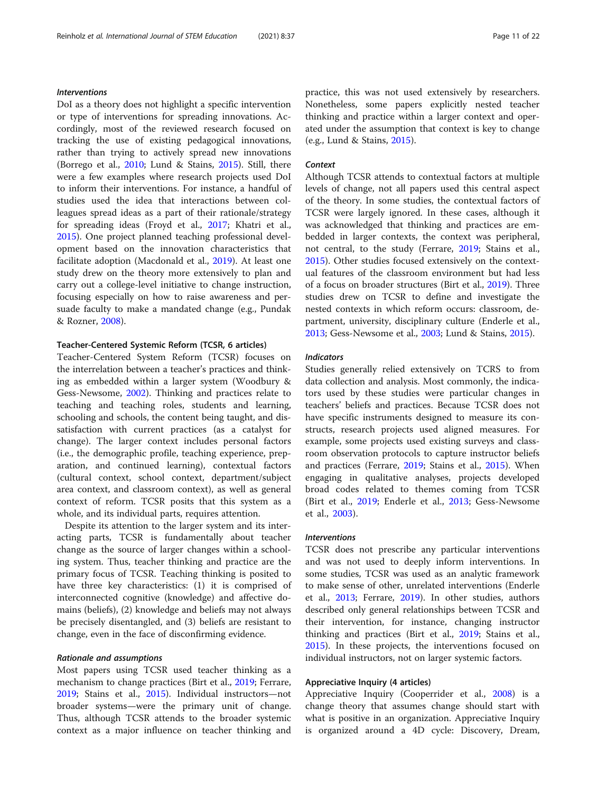# Interventions

DoI as a theory does not highlight a specific intervention or type of interventions for spreading innovations. Accordingly, most of the reviewed research focused on tracking the use of existing pedagogical innovations, rather than trying to actively spread new innovations (Borrego et al., [2010;](#page-18-0) Lund & Stains, [2015\)](#page-20-0). Still, there were a few examples where research projects used DoI to inform their interventions. For instance, a handful of studies used the idea that interactions between colleagues spread ideas as a part of their rationale/strategy for spreading ideas (Froyd et al., [2017;](#page-19-0) Khatri et al., [2015](#page-20-0)). One project planned teaching professional development based on the innovation characteristics that facilitate adoption (Macdonald et al., [2019\)](#page-20-0). At least one study drew on the theory more extensively to plan and carry out a college-level initiative to change instruction, focusing especially on how to raise awareness and persuade faculty to make a mandated change (e.g., Pundak & Rozner, [2008](#page-20-0)).

#### Teacher-Centered Systemic Reform (TCSR, 6 articles)

Teacher-Centered System Reform (TCSR) focuses on the interrelation between a teacher's practices and thinking as embedded within a larger system (Woodbury & Gess-Newsome, [2002\)](#page-21-0). Thinking and practices relate to teaching and teaching roles, students and learning, schooling and schools, the content being taught, and dissatisfaction with current practices (as a catalyst for change). The larger context includes personal factors (i.e., the demographic profile, teaching experience, preparation, and continued learning), contextual factors (cultural context, school context, department/subject area context, and classroom context), as well as general context of reform. TCSR posits that this system as a whole, and its individual parts, requires attention.

Despite its attention to the larger system and its interacting parts, TCSR is fundamentally about teacher change as the source of larger changes within a schooling system. Thus, teacher thinking and practice are the primary focus of TCSR. Teaching thinking is posited to have three key characteristics: (1) it is comprised of interconnected cognitive (knowledge) and affective domains (beliefs), (2) knowledge and beliefs may not always be precisely disentangled, and (3) beliefs are resistant to change, even in the face of disconfirming evidence.

# Rationale and assumptions

Most papers using TCSR used teacher thinking as a mechanism to change practices (Birt et al., [2019;](#page-18-0) Ferrare, [2019](#page-19-0); Stains et al., [2015](#page-20-0)). Individual instructors—not broader systems—were the primary unit of change. Thus, although TCSR attends to the broader systemic context as a major influence on teacher thinking and practice, this was not used extensively by researchers. Nonetheless, some papers explicitly nested teacher thinking and practice within a larger context and operated under the assumption that context is key to change (e.g., Lund & Stains, [2015\)](#page-20-0).

# **Context**

Although TCSR attends to contextual factors at multiple levels of change, not all papers used this central aspect of the theory. In some studies, the contextual factors of TCSR were largely ignored. In these cases, although it was acknowledged that thinking and practices are embedded in larger contexts, the context was peripheral, not central, to the study (Ferrare, [2019;](#page-19-0) Stains et al., [2015](#page-20-0)). Other studies focused extensively on the contextual features of the classroom environment but had less of a focus on broader structures (Birt et al., [2019\)](#page-18-0). Three studies drew on TCSR to define and investigate the nested contexts in which reform occurs: classroom, department, university, disciplinary culture (Enderle et al., [2013](#page-19-0); Gess-Newsome et al., [2003;](#page-19-0) Lund & Stains, [2015](#page-20-0)).

#### Indicators

Studies generally relied extensively on TCRS to from data collection and analysis. Most commonly, the indicators used by these studies were particular changes in teachers' beliefs and practices. Because TCSR does not have specific instruments designed to measure its constructs, research projects used aligned measures. For example, some projects used existing surveys and classroom observation protocols to capture instructor beliefs and practices (Ferrare, [2019;](#page-19-0) Stains et al., [2015](#page-20-0)). When engaging in qualitative analyses, projects developed broad codes related to themes coming from TCSR (Birt et al., [2019](#page-18-0); Enderle et al., [2013;](#page-19-0) Gess-Newsome et al., [2003\)](#page-19-0).

#### Interventions

TCSR does not prescribe any particular interventions and was not used to deeply inform interventions. In some studies, TCSR was used as an analytic framework to make sense of other, unrelated interventions (Enderle et al., [2013;](#page-19-0) Ferrare, [2019](#page-19-0)). In other studies, authors described only general relationships between TCSR and their intervention, for instance, changing instructor thinking and practices (Birt et al., [2019;](#page-18-0) Stains et al., [2015](#page-20-0)). In these projects, the interventions focused on individual instructors, not on larger systemic factors.

# Appreciative Inquiry (4 articles)

Appreciative Inquiry (Cooperrider et al., [2008](#page-19-0)) is a change theory that assumes change should start with what is positive in an organization. Appreciative Inquiry is organized around a 4D cycle: Discovery, Dream,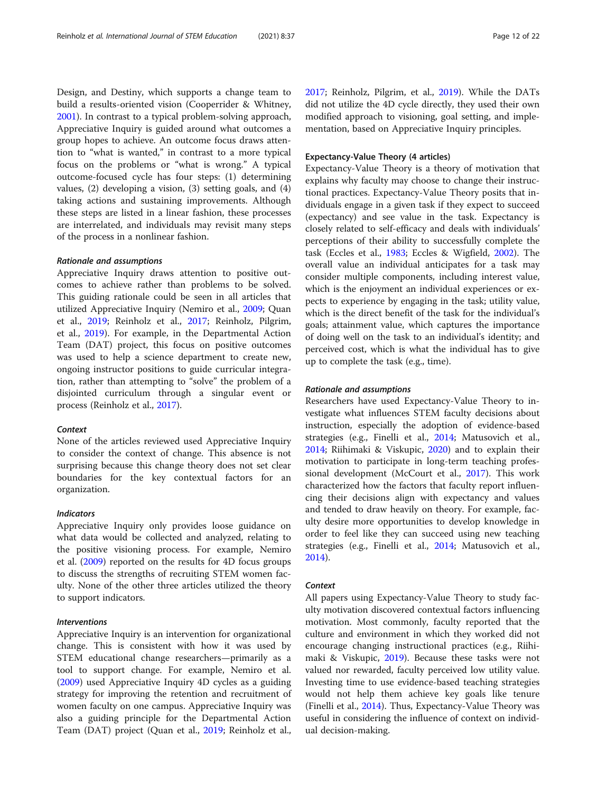Design, and Destiny, which supports a change team to build a results-oriented vision (Cooperrider & Whitney, [2001](#page-19-0)). In contrast to a typical problem-solving approach, Appreciative Inquiry is guided around what outcomes a group hopes to achieve. An outcome focus draws attention to "what is wanted," in contrast to a more typical focus on the problems or "what is wrong." A typical outcome-focused cycle has four steps: (1) determining values, (2) developing a vision, (3) setting goals, and (4) taking actions and sustaining improvements. Although these steps are listed in a linear fashion, these processes are interrelated, and individuals may revisit many steps of the process in a nonlinear fashion.

# Rationale and assumptions

Appreciative Inquiry draws attention to positive outcomes to achieve rather than problems to be solved. This guiding rationale could be seen in all articles that utilized Appreciative Inquiry (Nemiro et al., [2009](#page-20-0); Quan et al., [2019;](#page-20-0) Reinholz et al., [2017;](#page-20-0) Reinholz, Pilgrim, et al., [2019](#page-20-0)). For example, in the Departmental Action Team (DAT) project, this focus on positive outcomes was used to help a science department to create new, ongoing instructor positions to guide curricular integration, rather than attempting to "solve" the problem of a disjointed curriculum through a singular event or process (Reinholz et al., [2017](#page-20-0)).

#### **Context**

None of the articles reviewed used Appreciative Inquiry to consider the context of change. This absence is not surprising because this change theory does not set clear boundaries for the key contextual factors for an organization.

# Indicators

Appreciative Inquiry only provides loose guidance on what data would be collected and analyzed, relating to the positive visioning process. For example, Nemiro et al. [\(2009\)](#page-20-0) reported on the results for 4D focus groups to discuss the strengths of recruiting STEM women faculty. None of the other three articles utilized the theory to support indicators.

# Interventions

Appreciative Inquiry is an intervention for organizational change. This is consistent with how it was used by STEM educational change researchers—primarily as a tool to support change. For example, Nemiro et al. ([2009](#page-20-0)) used Appreciative Inquiry 4D cycles as a guiding strategy for improving the retention and recruitment of women faculty on one campus. Appreciative Inquiry was also a guiding principle for the Departmental Action Team (DAT) project (Quan et al., [2019;](#page-20-0) Reinholz et al., [2017](#page-20-0); Reinholz, Pilgrim, et al., [2019\)](#page-20-0). While the DATs did not utilize the 4D cycle directly, they used their own modified approach to visioning, goal setting, and implementation, based on Appreciative Inquiry principles.

# Expectancy-Value Theory (4 articles)

Expectancy-Value Theory is a theory of motivation that explains why faculty may choose to change their instructional practices. Expectancy-Value Theory posits that individuals engage in a given task if they expect to succeed (expectancy) and see value in the task. Expectancy is closely related to self-efficacy and deals with individuals' perceptions of their ability to successfully complete the task (Eccles et al., [1983;](#page-19-0) Eccles & Wigfield, [2002\)](#page-19-0). The overall value an individual anticipates for a task may consider multiple components, including interest value, which is the enjoyment an individual experiences or expects to experience by engaging in the task; utility value, which is the direct benefit of the task for the individual's goals; attainment value, which captures the importance of doing well on the task to an individual's identity; and perceived cost, which is what the individual has to give up to complete the task (e.g., time).

# Rationale and assumptions

Researchers have used Expectancy-Value Theory to investigate what influences STEM faculty decisions about instruction, especially the adoption of evidence-based strategies (e.g., Finelli et al., [2014](#page-19-0); Matusovich et al., [2014](#page-20-0); Riihimaki & Viskupic, [2020\)](#page-20-0) and to explain their motivation to participate in long-term teaching professional development (McCourt et al., [2017\)](#page-20-0). This work characterized how the factors that faculty report influencing their decisions align with expectancy and values and tended to draw heavily on theory. For example, faculty desire more opportunities to develop knowledge in order to feel like they can succeed using new teaching strategies (e.g., Finelli et al., [2014](#page-19-0); Matusovich et al., [2014](#page-20-0)).

#### Context

All papers using Expectancy-Value Theory to study faculty motivation discovered contextual factors influencing motivation. Most commonly, faculty reported that the culture and environment in which they worked did not encourage changing instructional practices (e.g., Riihimaki & Viskupic, [2019](#page-20-0)). Because these tasks were not valued nor rewarded, faculty perceived low utility value. Investing time to use evidence-based teaching strategies would not help them achieve key goals like tenure (Finelli et al., [2014\)](#page-19-0). Thus, Expectancy-Value Theory was useful in considering the influence of context on individual decision-making.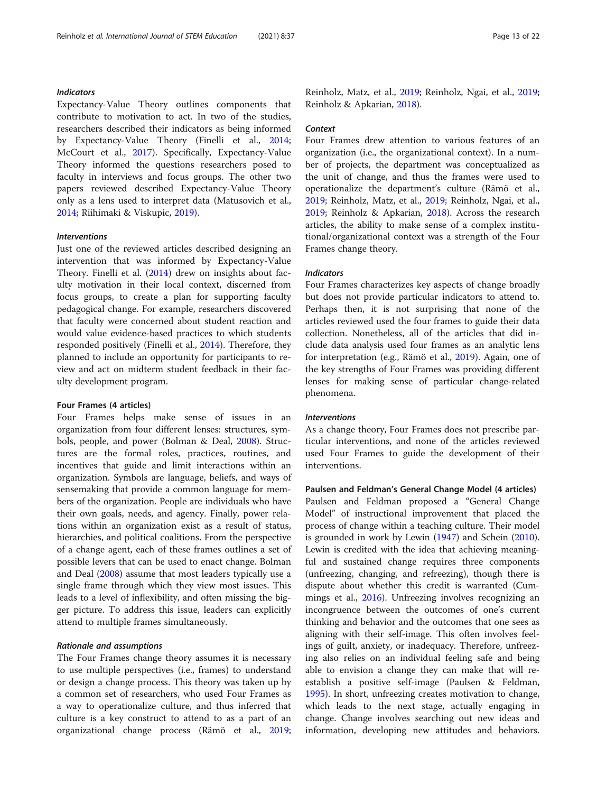# Indicators

Expectancy-Value Theory outlines components that contribute to motivation to act. In two of the studies, researchers described their indicators as being informed by Expectancy-Value Theory (Finelli et al., [2014](#page-19-0); McCourt et al., [2017\)](#page-20-0). Specifically, Expectancy-Value Theory informed the questions researchers posed to faculty in interviews and focus groups. The other two papers reviewed described Expectancy-Value Theory only as a lens used to interpret data (Matusovich et al., [2014](#page-20-0); Riihimaki & Viskupic, [2019\)](#page-20-0).

#### Interventions

Just one of the reviewed articles described designing an intervention that was informed by Expectancy-Value Theory. Finelli et al. [\(2014](#page-19-0)) drew on insights about faculty motivation in their local context, discerned from focus groups, to create a plan for supporting faculty pedagogical change. For example, researchers discovered that faculty were concerned about student reaction and would value evidence-based practices to which students responded positively (Finelli et al., [2014](#page-19-0)). Therefore, they planned to include an opportunity for participants to review and act on midterm student feedback in their faculty development program.

# Four Frames (4 articles)

Four Frames helps make sense of issues in an organization from four different lenses: structures, symbols, people, and power (Bolman & Deal, [2008\)](#page-18-0). Structures are the formal roles, practices, routines, and incentives that guide and limit interactions within an organization. Symbols are language, beliefs, and ways of sensemaking that provide a common language for members of the organization. People are individuals who have their own goals, needs, and agency. Finally, power relations within an organization exist as a result of status, hierarchies, and political coalitions. From the perspective of a change agent, each of these frames outlines a set of possible levers that can be used to enact change. Bolman and Deal ([2008](#page-18-0)) assume that most leaders typically use a single frame through which they view most issues. This leads to a level of inflexibility, and often missing the bigger picture. To address this issue, leaders can explicitly attend to multiple frames simultaneously.

# Rationale and assumptions

The Four Frames change theory assumes it is necessary to use multiple perspectives (i.e., frames) to understand or design a change process. This theory was taken up by a common set of researchers, who used Four Frames as a way to operationalize culture, and thus inferred that culture is a key construct to attend to as a part of an organizational change process (Rämö et al., [2019](#page-20-0); Reinholz, Matz, et al., [2019;](#page-20-0) Reinholz, Ngai, et al., [2019](#page-20-0); Reinholz & Apkarian, [2018\)](#page-20-0).

#### **Context**

Four Frames drew attention to various features of an organization (i.e., the organizational context). In a number of projects, the department was conceptualized as the unit of change, and thus the frames were used to operationalize the department's culture (Rämö et al., [2019](#page-20-0); Reinholz, Matz, et al., [2019](#page-20-0); Reinholz, Ngai, et al., [2019](#page-20-0); Reinholz & Apkarian, [2018\)](#page-20-0). Across the research articles, the ability to make sense of a complex institutional/organizational context was a strength of the Four Frames change theory.

# **Indicators**

Four Frames characterizes key aspects of change broadly but does not provide particular indicators to attend to. Perhaps then, it is not surprising that none of the articles reviewed used the four frames to guide their data collection. Nonetheless, all of the articles that did include data analysis used four frames as an analytic lens for interpretation (e.g., Rämö et al., [2019](#page-20-0)). Again, one of the key strengths of Four Frames was providing different lenses for making sense of particular change-related phenomena.

# Interventions

As a change theory, Four Frames does not prescribe particular interventions, and none of the articles reviewed used Four Frames to guide the development of their interventions.

# Paulsen and Feldman's General Change Model (4 articles)

Paulsen and Feldman proposed a "General Change Model" of instructional improvement that placed the process of change within a teaching culture. Their model is grounded in work by Lewin ([1947](#page-20-0)) and Schein ([2010](#page-20-0)). Lewin is credited with the idea that achieving meaningful and sustained change requires three components (unfreezing, changing, and refreezing), though there is dispute about whether this credit is warranted (Cummings et al., [2016\)](#page-19-0). Unfreezing involves recognizing an incongruence between the outcomes of one's current thinking and behavior and the outcomes that one sees as aligning with their self-image. This often involves feelings of guilt, anxiety, or inadequacy. Therefore, unfreezing also relies on an individual feeling safe and being able to envision a change they can make that will reestablish a positive self-image (Paulsen & Feldman, [1995](#page-20-0)). In short, unfreezing creates motivation to change, which leads to the next stage, actually engaging in change. Change involves searching out new ideas and information, developing new attitudes and behaviors.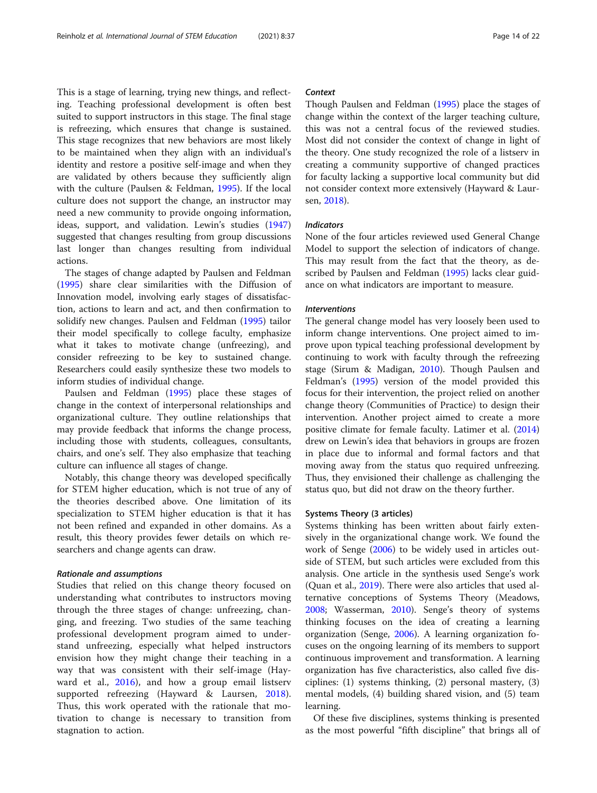This is a stage of learning, trying new things, and reflecting. Teaching professional development is often best suited to support instructors in this stage. The final stage is refreezing, which ensures that change is sustained. This stage recognizes that new behaviors are most likely to be maintained when they align with an individual's identity and restore a positive self-image and when they are validated by others because they sufficiently align with the culture (Paulsen & Feldman, [1995](#page-20-0)). If the local culture does not support the change, an instructor may need a new community to provide ongoing information, ideas, support, and validation. Lewin's studies ([1947](#page-20-0)) suggested that changes resulting from group discussions last longer than changes resulting from individual actions.

The stages of change adapted by Paulsen and Feldman ([1995](#page-20-0)) share clear similarities with the Diffusion of Innovation model, involving early stages of dissatisfaction, actions to learn and act, and then confirmation to solidify new changes. Paulsen and Feldman ([1995](#page-20-0)) tailor their model specifically to college faculty, emphasize what it takes to motivate change (unfreezing), and consider refreezing to be key to sustained change. Researchers could easily synthesize these two models to inform studies of individual change.

Paulsen and Feldman [\(1995](#page-20-0)) place these stages of change in the context of interpersonal relationships and organizational culture. They outline relationships that may provide feedback that informs the change process, including those with students, colleagues, consultants, chairs, and one's self. They also emphasize that teaching culture can influence all stages of change.

Notably, this change theory was developed specifically for STEM higher education, which is not true of any of the theories described above. One limitation of its specialization to STEM higher education is that it has not been refined and expanded in other domains. As a result, this theory provides fewer details on which researchers and change agents can draw.

# Rationale and assumptions

Studies that relied on this change theory focused on understanding what contributes to instructors moving through the three stages of change: unfreezing, changing, and freezing. Two studies of the same teaching professional development program aimed to understand unfreezing, especially what helped instructors envision how they might change their teaching in a way that was consistent with their self-image (Hayward et al., [2016\)](#page-19-0), and how a group email listserv supported refreezing (Hayward & Laursen, [2018](#page-19-0)). Thus, this work operated with the rationale that motivation to change is necessary to transition from stagnation to action.

# **Context**

Though Paulsen and Feldman ([1995](#page-20-0)) place the stages of change within the context of the larger teaching culture, this was not a central focus of the reviewed studies. Most did not consider the context of change in light of the theory. One study recognized the role of a listserv in creating a community supportive of changed practices for faculty lacking a supportive local community but did not consider context more extensively (Hayward & Laursen, [2018](#page-19-0)).

# Indicators

None of the four articles reviewed used General Change Model to support the selection of indicators of change. This may result from the fact that the theory, as described by Paulsen and Feldman ([1995\)](#page-20-0) lacks clear guidance on what indicators are important to measure.

#### Interventions

The general change model has very loosely been used to inform change interventions. One project aimed to improve upon typical teaching professional development by continuing to work with faculty through the refreezing stage (Sirum & Madigan, [2010\)](#page-20-0). Though Paulsen and Feldman's ([1995](#page-20-0)) version of the model provided this focus for their intervention, the project relied on another change theory (Communities of Practice) to design their intervention. Another project aimed to create a more positive climate for female faculty. Latimer et al. ([2014](#page-20-0)) drew on Lewin's idea that behaviors in groups are frozen in place due to informal and formal factors and that moving away from the status quo required unfreezing. Thus, they envisioned their challenge as challenging the status quo, but did not draw on the theory further.

# Systems Theory (3 articles)

Systems thinking has been written about fairly extensively in the organizational change work. We found the work of Senge [\(2006\)](#page-20-0) to be widely used in articles outside of STEM, but such articles were excluded from this analysis. One article in the synthesis used Senge's work (Quan et al., [2019](#page-20-0)). There were also articles that used alternative conceptions of Systems Theory (Meadows, [2008](#page-20-0); Wasserman, [2010](#page-21-0)). Senge's theory of systems thinking focuses on the idea of creating a learning organization (Senge, [2006](#page-20-0)). A learning organization focuses on the ongoing learning of its members to support continuous improvement and transformation. A learning organization has five characteristics, also called five disciplines: (1) systems thinking, (2) personal mastery, (3) mental models, (4) building shared vision, and (5) team learning.

Of these five disciplines, systems thinking is presented as the most powerful "fifth discipline" that brings all of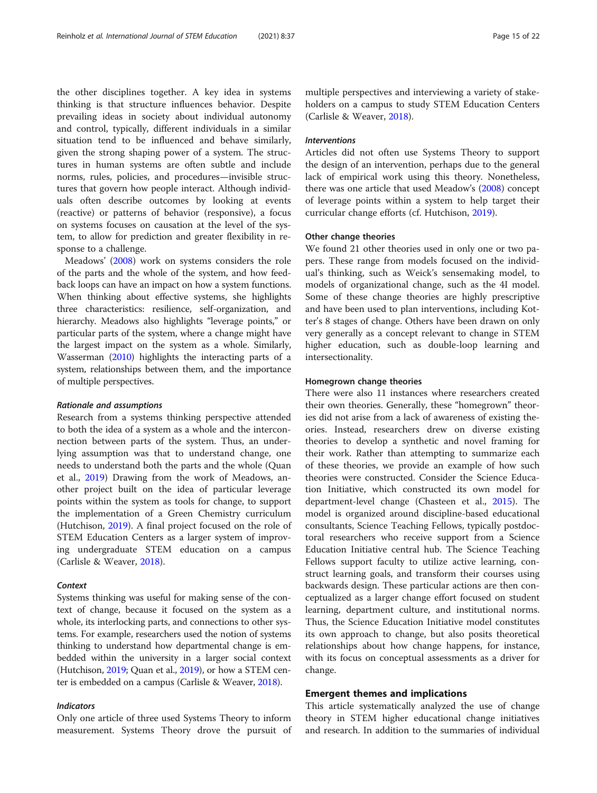the other disciplines together. A key idea in systems thinking is that structure influences behavior. Despite prevailing ideas in society about individual autonomy and control, typically, different individuals in a similar situation tend to be influenced and behave similarly, given the strong shaping power of a system. The structures in human systems are often subtle and include norms, rules, policies, and procedures—invisible structures that govern how people interact. Although individuals often describe outcomes by looking at events (reactive) or patterns of behavior (responsive), a focus on systems focuses on causation at the level of the system, to allow for prediction and greater flexibility in response to a challenge.

Meadows' ([2008](#page-20-0)) work on systems considers the role of the parts and the whole of the system, and how feedback loops can have an impact on how a system functions. When thinking about effective systems, she highlights three characteristics: resilience, self-organization, and hierarchy. Meadows also highlights "leverage points," or particular parts of the system, where a change might have the largest impact on the system as a whole. Similarly, Wasserman ([2010](#page-21-0)) highlights the interacting parts of a system, relationships between them, and the importance of multiple perspectives.

#### Rationale and assumptions

Research from a systems thinking perspective attended to both the idea of a system as a whole and the interconnection between parts of the system. Thus, an underlying assumption was that to understand change, one needs to understand both the parts and the whole (Quan et al., [2019](#page-20-0)) Drawing from the work of Meadows, another project built on the idea of particular leverage points within the system as tools for change, to support the implementation of a Green Chemistry curriculum (Hutchison, [2019\)](#page-19-0). A final project focused on the role of STEM Education Centers as a larger system of improving undergraduate STEM education on a campus (Carlisle & Weaver, [2018](#page-19-0)).

#### **Context**

Systems thinking was useful for making sense of the context of change, because it focused on the system as a whole, its interlocking parts, and connections to other systems. For example, researchers used the notion of systems thinking to understand how departmental change is embedded within the university in a larger social context (Hutchison, [2019;](#page-19-0) Quan et al., [2019\)](#page-20-0), or how a STEM center is embedded on a campus (Carlisle & Weaver, [2018\)](#page-19-0).

# Indicators

Only one article of three used Systems Theory to inform measurement. Systems Theory drove the pursuit of

multiple perspectives and interviewing a variety of stakeholders on a campus to study STEM Education Centers (Carlisle & Weaver, [2018\)](#page-19-0).

# Interventions

Articles did not often use Systems Theory to support the design of an intervention, perhaps due to the general lack of empirical work using this theory. Nonetheless, there was one article that used Meadow's ([2008](#page-20-0)) concept of leverage points within a system to help target their curricular change efforts (cf. Hutchison, [2019\)](#page-19-0).

# Other change theories

We found 21 other theories used in only one or two papers. These range from models focused on the individual's thinking, such as Weick's sensemaking model, to models of organizational change, such as the 4I model. Some of these change theories are highly prescriptive and have been used to plan interventions, including Kotter's 8 stages of change. Others have been drawn on only very generally as a concept relevant to change in STEM higher education, such as double-loop learning and intersectionality.

# Homegrown change theories

There were also 11 instances where researchers created their own theories. Generally, these "homegrown" theories did not arise from a lack of awareness of existing theories. Instead, researchers drew on diverse existing theories to develop a synthetic and novel framing for their work. Rather than attempting to summarize each of these theories, we provide an example of how such theories were constructed. Consider the Science Education Initiative, which constructed its own model for department-level change (Chasteen et al., [2015](#page-19-0)). The model is organized around discipline-based educational consultants, Science Teaching Fellows, typically postdoctoral researchers who receive support from a Science Education Initiative central hub. The Science Teaching Fellows support faculty to utilize active learning, construct learning goals, and transform their courses using backwards design. These particular actions are then conceptualized as a larger change effort focused on student learning, department culture, and institutional norms. Thus, the Science Education Initiative model constitutes its own approach to change, but also posits theoretical relationships about how change happens, for instance, with its focus on conceptual assessments as a driver for change.

# Emergent themes and implications

This article systematically analyzed the use of change theory in STEM higher educational change initiatives and research. In addition to the summaries of individual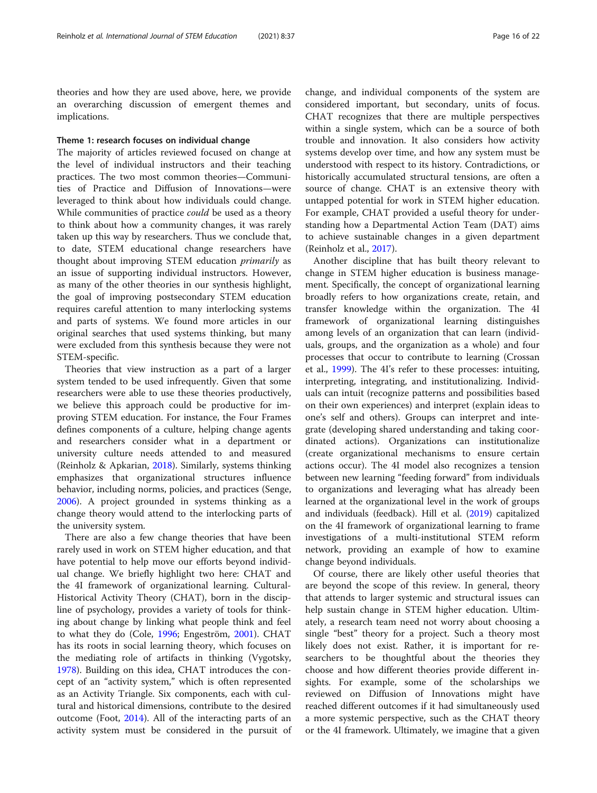theories and how they are used above, here, we provide an overarching discussion of emergent themes and implications.

# Theme 1: research focuses on individual change

The majority of articles reviewed focused on change at the level of individual instructors and their teaching practices. The two most common theories—Communities of Practice and Diffusion of Innovations—were leveraged to think about how individuals could change. While communities of practice *could* be used as a theory to think about how a community changes, it was rarely taken up this way by researchers. Thus we conclude that, to date, STEM educational change researchers have thought about improving STEM education primarily as an issue of supporting individual instructors. However, as many of the other theories in our synthesis highlight, the goal of improving postsecondary STEM education requires careful attention to many interlocking systems and parts of systems. We found more articles in our original searches that used systems thinking, but many were excluded from this synthesis because they were not STEM-specific.

Theories that view instruction as a part of a larger system tended to be used infrequently. Given that some researchers were able to use these theories productively, we believe this approach could be productive for improving STEM education. For instance, the Four Frames defines components of a culture, helping change agents and researchers consider what in a department or university culture needs attended to and measured (Reinholz & Apkarian, [2018\)](#page-20-0). Similarly, systems thinking emphasizes that organizational structures influence behavior, including norms, policies, and practices (Senge, [2006](#page-20-0)). A project grounded in systems thinking as a change theory would attend to the interlocking parts of the university system.

There are also a few change theories that have been rarely used in work on STEM higher education, and that have potential to help move our efforts beyond individual change. We briefly highlight two here: CHAT and the 4I framework of organizational learning. Cultural-Historical Activity Theory (CHAT), born in the discipline of psychology, provides a variety of tools for thinking about change by linking what people think and feel to what they do (Cole, [1996;](#page-19-0) Engeström, [2001](#page-19-0)). CHAT has its roots in social learning theory, which focuses on the mediating role of artifacts in thinking (Vygotsky, [1978](#page-21-0)). Building on this idea, CHAT introduces the concept of an "activity system," which is often represented as an Activity Triangle. Six components, each with cultural and historical dimensions, contribute to the desired outcome (Foot, [2014\)](#page-19-0). All of the interacting parts of an activity system must be considered in the pursuit of

change, and individual components of the system are considered important, but secondary, units of focus. CHAT recognizes that there are multiple perspectives within a single system, which can be a source of both trouble and innovation. It also considers how activity systems develop over time, and how any system must be understood with respect to its history. Contradictions, or historically accumulated structural tensions, are often a source of change. CHAT is an extensive theory with untapped potential for work in STEM higher education. For example, CHAT provided a useful theory for understanding how a Departmental Action Team (DAT) aims to achieve sustainable changes in a given department (Reinholz et al., [2017\)](#page-20-0).

Another discipline that has built theory relevant to change in STEM higher education is business management. Specifically, the concept of organizational learning broadly refers to how organizations create, retain, and transfer knowledge within the organization. The 4I framework of organizational learning distinguishes among levels of an organization that can learn (individuals, groups, and the organization as a whole) and four processes that occur to contribute to learning (Crossan et al., [1999\)](#page-19-0). The 4I's refer to these processes: intuiting, interpreting, integrating, and institutionalizing. Individuals can intuit (recognize patterns and possibilities based on their own experiences) and interpret (explain ideas to one's self and others). Groups can interpret and integrate (developing shared understanding and taking coordinated actions). Organizations can institutionalize (create organizational mechanisms to ensure certain actions occur). The 4I model also recognizes a tension between new learning "feeding forward" from individuals to organizations and leveraging what has already been learned at the organizational level in the work of groups and individuals (feedback). Hill et al. [\(2019](#page-19-0)) capitalized on the 4I framework of organizational learning to frame investigations of a multi-institutional STEM reform network, providing an example of how to examine change beyond individuals.

Of course, there are likely other useful theories that are beyond the scope of this review. In general, theory that attends to larger systemic and structural issues can help sustain change in STEM higher education. Ultimately, a research team need not worry about choosing a single "best" theory for a project. Such a theory most likely does not exist. Rather, it is important for researchers to be thoughtful about the theories they choose and how different theories provide different insights. For example, some of the scholarships we reviewed on Diffusion of Innovations might have reached different outcomes if it had simultaneously used a more systemic perspective, such as the CHAT theory or the 4I framework. Ultimately, we imagine that a given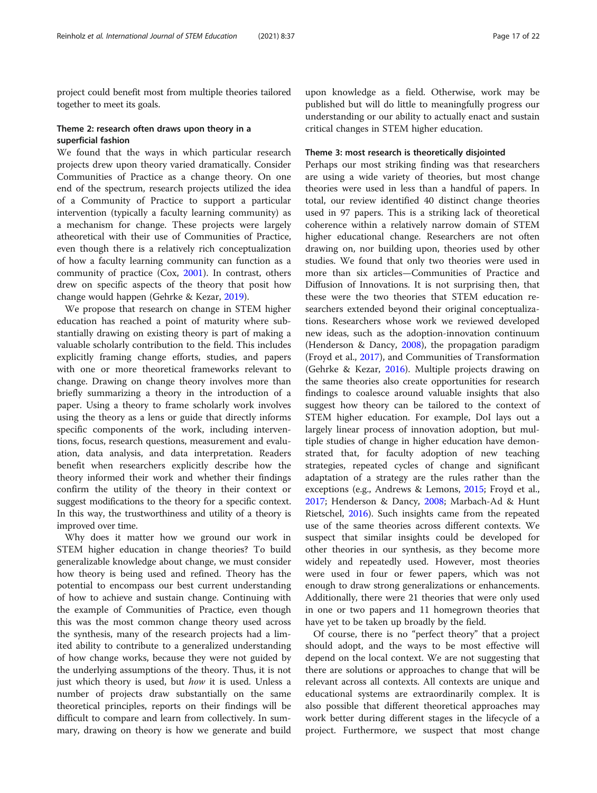project could benefit most from multiple theories tailored together to meet its goals.

# Theme 2: research often draws upon theory in a superficial fashion

We found that the ways in which particular research projects drew upon theory varied dramatically. Consider Communities of Practice as a change theory. On one end of the spectrum, research projects utilized the idea of a Community of Practice to support a particular intervention (typically a faculty learning community) as a mechanism for change. These projects were largely atheoretical with their use of Communities of Practice, even though there is a relatively rich conceptualization of how a faculty learning community can function as a community of practice (Cox, [2001\)](#page-19-0). In contrast, others drew on specific aspects of the theory that posit how change would happen (Gehrke & Kezar, [2019](#page-19-0)).

We propose that research on change in STEM higher education has reached a point of maturity where substantially drawing on existing theory is part of making a valuable scholarly contribution to the field. This includes explicitly framing change efforts, studies, and papers with one or more theoretical frameworks relevant to change. Drawing on change theory involves more than briefly summarizing a theory in the introduction of a paper. Using a theory to frame scholarly work involves using the theory as a lens or guide that directly informs specific components of the work, including interventions, focus, research questions, measurement and evaluation, data analysis, and data interpretation. Readers benefit when researchers explicitly describe how the theory informed their work and whether their findings confirm the utility of the theory in their context or suggest modifications to the theory for a specific context. In this way, the trustworthiness and utility of a theory is improved over time.

Why does it matter how we ground our work in STEM higher education in change theories? To build generalizable knowledge about change, we must consider how theory is being used and refined. Theory has the potential to encompass our best current understanding of how to achieve and sustain change. Continuing with the example of Communities of Practice, even though this was the most common change theory used across the synthesis, many of the research projects had a limited ability to contribute to a generalized understanding of how change works, because they were not guided by the underlying assumptions of the theory. Thus, it is not just which theory is used, but how it is used. Unless a number of projects draw substantially on the same theoretical principles, reports on their findings will be difficult to compare and learn from collectively. In summary, drawing on theory is how we generate and build

upon knowledge as a field. Otherwise, work may be published but will do little to meaningfully progress our understanding or our ability to actually enact and sustain critical changes in STEM higher education.

# Theme 3: most research is theoretically disjointed

Perhaps our most striking finding was that researchers are using a wide variety of theories, but most change theories were used in less than a handful of papers. In total, our review identified 40 distinct change theories used in 97 papers. This is a striking lack of theoretical coherence within a relatively narrow domain of STEM higher educational change. Researchers are not often drawing on, nor building upon, theories used by other studies. We found that only two theories were used in more than six articles—Communities of Practice and Diffusion of Innovations. It is not surprising then, that these were the two theories that STEM education researchers extended beyond their original conceptualizations. Researchers whose work we reviewed developed new ideas, such as the adoption-innovation continuum (Henderson & Dancy, [2008](#page-19-0)), the propagation paradigm (Froyd et al., [2017\)](#page-19-0), and Communities of Transformation (Gehrke & Kezar, [2016](#page-19-0)). Multiple projects drawing on the same theories also create opportunities for research findings to coalesce around valuable insights that also suggest how theory can be tailored to the context of STEM higher education. For example, DoI lays out a largely linear process of innovation adoption, but multiple studies of change in higher education have demonstrated that, for faculty adoption of new teaching strategies, repeated cycles of change and significant adaptation of a strategy are the rules rather than the exceptions (e.g., Andrews & Lemons, [2015;](#page-18-0) Froyd et al., [2017](#page-19-0); Henderson & Dancy, [2008](#page-19-0); Marbach-Ad & Hunt Rietschel, [2016](#page-20-0)). Such insights came from the repeated use of the same theories across different contexts. We suspect that similar insights could be developed for other theories in our synthesis, as they become more widely and repeatedly used. However, most theories were used in four or fewer papers, which was not enough to draw strong generalizations or enhancements. Additionally, there were 21 theories that were only used in one or two papers and 11 homegrown theories that have yet to be taken up broadly by the field.

Of course, there is no "perfect theory" that a project should adopt, and the ways to be most effective will depend on the local context. We are not suggesting that there are solutions or approaches to change that will be relevant across all contexts. All contexts are unique and educational systems are extraordinarily complex. It is also possible that different theoretical approaches may work better during different stages in the lifecycle of a project. Furthermore, we suspect that most change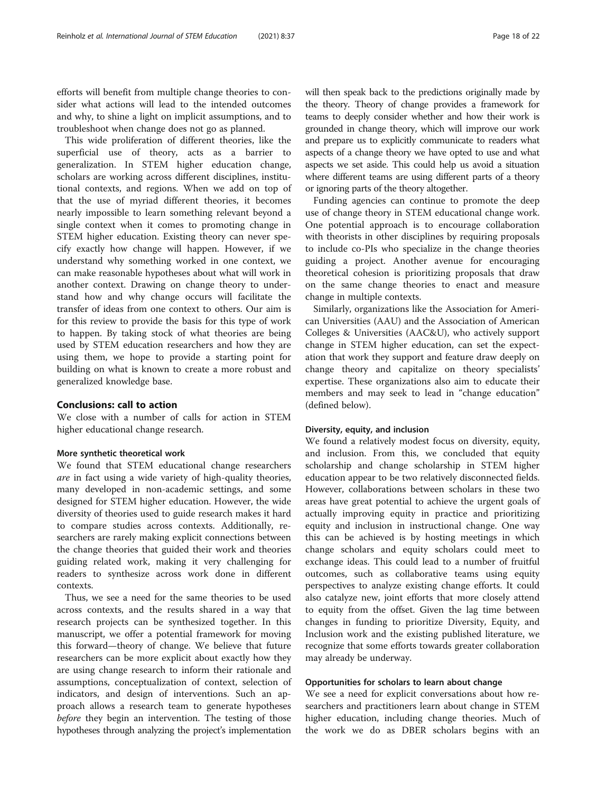efforts will benefit from multiple change theories to consider what actions will lead to the intended outcomes and why, to shine a light on implicit assumptions, and to troubleshoot when change does not go as planned.

This wide proliferation of different theories, like the superficial use of theory, acts as a barrier to generalization. In STEM higher education change, scholars are working across different disciplines, institutional contexts, and regions. When we add on top of that the use of myriad different theories, it becomes nearly impossible to learn something relevant beyond a single context when it comes to promoting change in STEM higher education. Existing theory can never specify exactly how change will happen. However, if we understand why something worked in one context, we can make reasonable hypotheses about what will work in another context. Drawing on change theory to understand how and why change occurs will facilitate the transfer of ideas from one context to others. Our aim is for this review to provide the basis for this type of work to happen. By taking stock of what theories are being used by STEM education researchers and how they are using them, we hope to provide a starting point for building on what is known to create a more robust and generalized knowledge base.

# Conclusions: call to action

We close with a number of calls for action in STEM higher educational change research.

# More synthetic theoretical work

We found that STEM educational change researchers are in fact using a wide variety of high-quality theories, many developed in non-academic settings, and some designed for STEM higher education. However, the wide diversity of theories used to guide research makes it hard to compare studies across contexts. Additionally, researchers are rarely making explicit connections between the change theories that guided their work and theories guiding related work, making it very challenging for readers to synthesize across work done in different contexts.

Thus, we see a need for the same theories to be used across contexts, and the results shared in a way that research projects can be synthesized together. In this manuscript, we offer a potential framework for moving this forward—theory of change. We believe that future researchers can be more explicit about exactly how they are using change research to inform their rationale and assumptions, conceptualization of context, selection of indicators, and design of interventions. Such an approach allows a research team to generate hypotheses before they begin an intervention. The testing of those hypotheses through analyzing the project's implementation

will then speak back to the predictions originally made by the theory. Theory of change provides a framework for teams to deeply consider whether and how their work is grounded in change theory, which will improve our work and prepare us to explicitly communicate to readers what aspects of a change theory we have opted to use and what aspects we set aside. This could help us avoid a situation where different teams are using different parts of a theory or ignoring parts of the theory altogether.

Funding agencies can continue to promote the deep use of change theory in STEM educational change work. One potential approach is to encourage collaboration with theorists in other disciplines by requiring proposals to include co-PIs who specialize in the change theories guiding a project. Another avenue for encouraging theoretical cohesion is prioritizing proposals that draw on the same change theories to enact and measure change in multiple contexts.

Similarly, organizations like the Association for American Universities (AAU) and the Association of American Colleges & Universities (AAC&U), who actively support change in STEM higher education, can set the expectation that work they support and feature draw deeply on change theory and capitalize on theory specialists' expertise. These organizations also aim to educate their members and may seek to lead in "change education" (defined below).

# Diversity, equity, and inclusion

We found a relatively modest focus on diversity, equity, and inclusion. From this, we concluded that equity scholarship and change scholarship in STEM higher education appear to be two relatively disconnected fields. However, collaborations between scholars in these two areas have great potential to achieve the urgent goals of actually improving equity in practice and prioritizing equity and inclusion in instructional change. One way this can be achieved is by hosting meetings in which change scholars and equity scholars could meet to exchange ideas. This could lead to a number of fruitful outcomes, such as collaborative teams using equity perspectives to analyze existing change efforts. It could also catalyze new, joint efforts that more closely attend to equity from the offset. Given the lag time between changes in funding to prioritize Diversity, Equity, and Inclusion work and the existing published literature, we recognize that some efforts towards greater collaboration may already be underway.

# Opportunities for scholars to learn about change

We see a need for explicit conversations about how researchers and practitioners learn about change in STEM higher education, including change theories. Much of the work we do as DBER scholars begins with an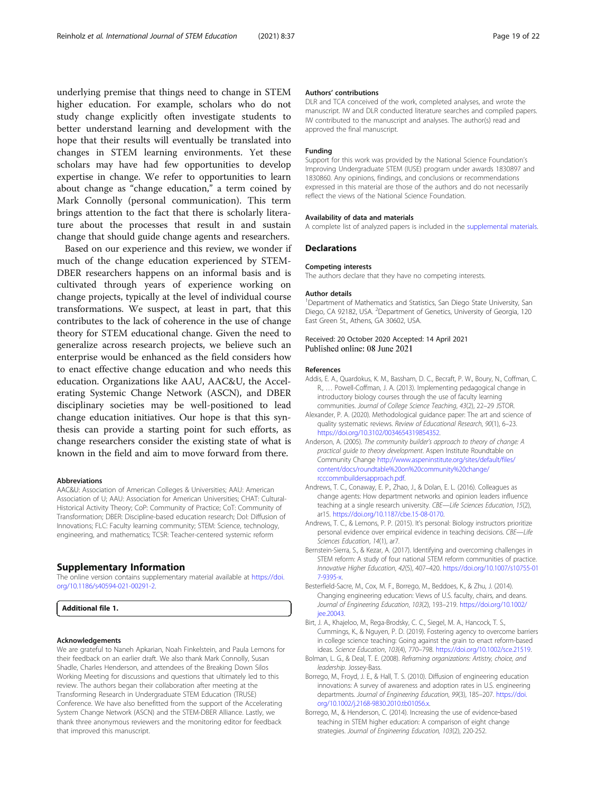<span id="page-18-0"></span>underlying premise that things need to change in STEM higher education. For example, scholars who do not study change explicitly often investigate students to better understand learning and development with the hope that their results will eventually be translated into changes in STEM learning environments. Yet these scholars may have had few opportunities to develop expertise in change. We refer to opportunities to learn about change as "change education," a term coined by Mark Connolly (personal communication). This term brings attention to the fact that there is scholarly literature about the processes that result in and sustain

change that should guide change agents and researchers. Based on our experience and this review, we wonder if much of the change education experienced by STEM-DBER researchers happens on an informal basis and is cultivated through years of experience working on change projects, typically at the level of individual course transformations. We suspect, at least in part, that this contributes to the lack of coherence in the use of change theory for STEM educational change. Given the need to generalize across research projects, we believe such an enterprise would be enhanced as the field considers how to enact effective change education and who needs this education. Organizations like AAU, AAC&U, the Accelerating Systemic Change Network (ASCN), and DBER disciplinary societies may be well-positioned to lead change education initiatives. Our hope is that this synthesis can provide a starting point for such efforts, as change researchers consider the existing state of what is known in the field and aim to move forward from there.

#### Abbreviations

AAC&U: Association of American Colleges & Universities; AAU: American Association of U; AAU: Association for American Universities; CHAT: Cultural-Historical Activity Theory; CoP: Community of Practice; CoT: Community of Transformation; DBER: Discipline-based education research; DoI: Diffusion of Innovations; FLC: Faculty learning community; STEM: Science, technology, engineering, and mathematics; TCSR: Teacher-centered systemic reform

# Supplementary Information

The online version contains supplementary material available at [https://doi.](https://doi.org/10.1186/s40594-021-00291-2) [org/10.1186/s40594-021-00291-2.](https://doi.org/10.1186/s40594-021-00291-2)

Additional file 1.

#### Acknowledgements

We are grateful to Naneh Apkarian, Noah Finkelstein, and Paula Lemons for their feedback on an earlier draft. We also thank Mark Connolly, Susan Shadle, Charles Henderson, and attendees of the Breaking Down Silos Working Meeting for discussions and questions that ultimately led to this review. The authors began their collaboration after meeting at the Transforming Research in Undergraduate STEM Education (TRUSE) Conference. We have also benefitted from the support of the Accelerating System Change Network (ASCN) and the STEM-DBER Alliance. Lastly, we thank three anonymous reviewers and the monitoring editor for feedback that improved this manuscript.

#### Authors' contributions

DLR and TCA conceived of the work, completed analyses, and wrote the manuscript. IW and DLR conducted literature searches and compiled papers. IW contributed to the manuscript and analyses. The author(s) read and approved the final manuscript.

#### Funding

Support for this work was provided by the National Science Foundation's Improving Undergraduate STEM (IUSE) program under awards 1830897 and 1830860. Any opinions, findings, and conclusions or recommendations expressed in this material are those of the authors and do not necessarily reflect the views of the National Science Foundation.

#### Availability of data and materials

A complete list of analyzed papers is included in the supplemental materials.

#### **Declarations**

#### Competing interests

The authors declare that they have no competing interests.

#### Author details

<sup>1</sup>Department of Mathematics and Statistics, San Diego State University, San Diego, CA 92182, USA. <sup>2</sup>Department of Genetics, University of Georgia, 120 East Green St., Athens, GA 30602, USA.

# Received: 20 October 2020 Accepted: 14 April 2021 Published online: 08 June 2021

#### References

- Addis, E. A., Quardokus, K. M., Bassham, D. C., Becraft, P. W., Boury, N., Coffman, C. R., … Powell-Coffman, J. A. (2013). Implementing pedagogical change in introductory biology courses through the use of faculty learning communities. Journal of College Science Teaching, 43(2), 22–29 JSTOR.
- Alexander, P. A. (2020). Methodological guidance paper: The art and science of quality systematic reviews. Review of Educational Research, 90(1), 6–23. [https://doi.org/10.3102/0034654319854352.](https://doi.org/10.3102/0034654319854352)
- Anderson, A. (2005). The community builder's approach to theory of change: A practical guide to theory development. Aspen Institute Roundtable on Community Change [http://www.aspeninstitute.org/sites/default/files/](http://www.aspeninstitute.org/sites/default/files/content/docs/roundtable%20on%20community%20change/rcccommbuildersapproach.pdf) [content/docs/roundtable%20on%20community%20change/](http://www.aspeninstitute.org/sites/default/files/content/docs/roundtable%20on%20community%20change/rcccommbuildersapproach.pdf) [rcccommbuildersapproach.pdf.](http://www.aspeninstitute.org/sites/default/files/content/docs/roundtable%20on%20community%20change/rcccommbuildersapproach.pdf)
- Andrews, T. C., Conaway, E. P., Zhao, J., & Dolan, E. L. (2016). Colleagues as change agents: How department networks and opinion leaders influence teaching at a single research university. CBE—Life Sciences Education, 15(2), ar15. <https://doi.org/10.1187/cbe.15-08-0170>.
- Andrews, T. C., & Lemons, P. P. (2015). It's personal: Biology instructors prioritize personal evidence over empirical evidence in teaching decisions. CBE—Life Sciences Education, 14(1), ar7.
- Bernstein-Sierra, S., & Kezar, A. (2017). Identifying and overcoming challenges in STEM reform: A study of four national STEM reform communities of practice. Innovative Higher Education, 42(5), 407–420. [https://doi.org/10.1007/s10755-01](https://doi.org/10.1007/s10755-017-9395-x) [7-9395-x](https://doi.org/10.1007/s10755-017-9395-x).
- Besterfield-Sacre, M., Cox, M. F., Borrego, M., Beddoes, K., & Zhu, J. (2014). Changing engineering education: Views of U.S. faculty, chairs, and deans. Journal of Engineering Education, 103(2), 193–219. [https://doi.org/10.1002/](https://doi.org/10.1002/jee.20043) [jee.20043](https://doi.org/10.1002/jee.20043).
- Birt, J. A., Khajeloo, M., Rega-Brodsky, C. C., Siegel, M. A., Hancock, T. S., Cummings, K., & Nguyen, P. D. (2019). Fostering agency to overcome barriers in college science teaching: Going against the grain to enact reform-based ideas. Science Education, 103(4), 770–798. [https://doi.org/10.1002/sce.21519.](https://doi.org/10.1002/sce.21519)
- Bolman, L. G., & Deal, T. E. (2008). Reframing organizations: Artistry, choice, and leadership. Jossey-Bass.
- Borrego, M., Froyd, J. E., & Hall, T. S. (2010). Diffusion of engineering education innovations: A survey of awareness and adoption rates in U.S. engineering departments. Journal of Engineering Education, 99(3), 185–207. [https://doi.](https://doi.org/10.1002/j.2168-9830.2010.tb01056.x) [org/10.1002/j.2168-9830.2010.tb01056.x](https://doi.org/10.1002/j.2168-9830.2010.tb01056.x).
- Borrego, M., & Henderson, C. (2014). Increasing the use of evidence‐based teaching in STEM higher education: A comparison of eight change strategies. Journal of Engineering Education, 103(2), 220-252.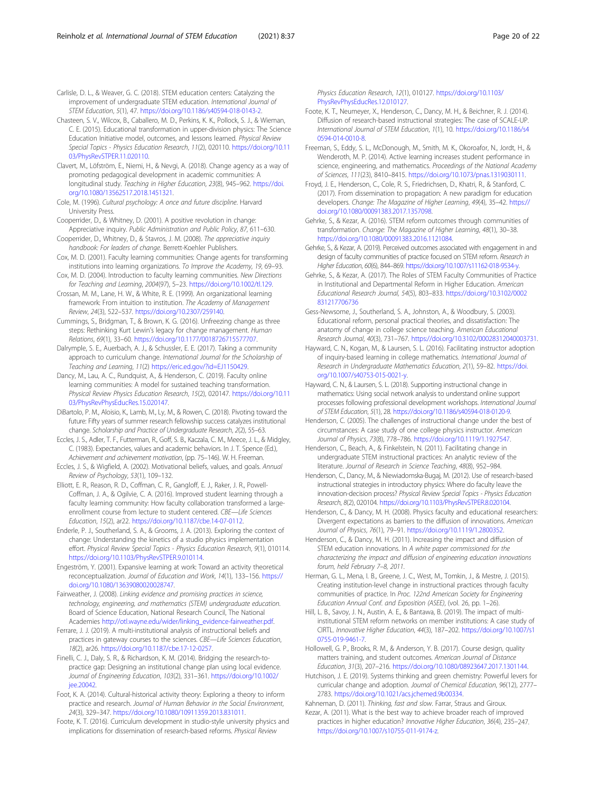<span id="page-19-0"></span>Carlisle, D. L., & Weaver, G. C. (2018). STEM education centers: Catalyzing the improvement of undergraduate STEM education. International Journal of STEM Education, 5(1), 47. [https://doi.org/10.1186/s40594-018-0143-2.](https://doi.org/10.1186/s40594-018-0143-2)

- Chasteen, S. V., Wilcox, B., Caballero, M. D., Perkins, K. K., Pollock, S. J., & Wieman, C. E. (2015). Educational transformation in upper-division physics: The Science Education Initiative model, outcomes, and lessons learned. Physical Review Special Topics - Physics Education Research, 11(2), 020110. [https://doi.org/10.11](https://doi.org/10.1103/PhysRevSTPER.11.020110) [03/PhysRevSTPER.11.020110.](https://doi.org/10.1103/PhysRevSTPER.11.020110)
- Clavert, M., Löfström, E., Niemi, H., & Nevgi, A. (2018). Change agency as a way of promoting pedagogical development in academic communities: A longitudinal study. Teaching in Higher Education, 23(8), 945–962. [https://doi.](https://doi.org/10.1080/13562517.2018.1451321) [org/10.1080/13562517.2018.1451321](https://doi.org/10.1080/13562517.2018.1451321).
- Cole, M. (1996). Cultural psychology: A once and future discipline. Harvard University Press.
- Cooperrider, D., & Whitney, D. (2001). A positive revolution in change: Appreciative inquiry. Public Administration and Public Policy, 87, 611–630.
- Cooperrider, D., Whitney, D., & Stavros, J. M. (2008). The appreciative inquiry handbook: For leaders of change. Berrett-Koehler Publishers.
- Cox, M. D. (2001). Faculty learning communities: Change agents for transforming institutions into learning organizations. To Improve the Academy, 19, 69–93.

Cox, M. D. (2004). Introduction to faculty learning communities. New Directions for Teaching and Learning, 2004(97), 5–23. <https://doi.org/10.1002/tl.129>.

- Crossan, M. M., Lane, H. W., & White, R. E. (1999). An organizational learning framework: From intuition to institution. The Academy of Management Review, 24(3), 522–537. [https://doi.org/10.2307/259140.](https://doi.org/10.2307/259140)
- Cummings, S., Bridgman, T., & Brown, K. G. (2016). Unfreezing change as three steps: Rethinking Kurt Lewin's legacy for change management. Human Relations, 69(1), 33–60. [https://doi.org/10.1177/0018726715577707.](https://doi.org/10.1177/0018726715577707)
- Dalrymple, S. E., Auerbach, A. J., & Schussler, E. E. (2017). Taking a community approach to curriculum change. International Journal for the Scholarship of Teaching and Learning, 11(2) [https://eric.ed.gov/?id=EJ1150429.](https://eric.ed.gov/?id=EJ1150429)
- Dancy, M., Lau, A. C., Rundquist, A., & Henderson, C. (2019). Faculty online learning communities: A model for sustained teaching transformation. Physical Review Physics Education Research, 15(2), 020147. [https://doi.org/10.11](https://doi.org/10.1103/PhysRevPhysEducRes.15.020147) [03/PhysRevPhysEducRes.15.020147](https://doi.org/10.1103/PhysRevPhysEducRes.15.020147).
- DiBartolo, P. M., Aloisio, K., Lamb, M., Ly, M., & Rowen, C. (2018). Pivoting toward the future: Fifty years of summer research fellowship success catalyzes institutional change. Scholarship and Practice of Undergraduate Research, 2(2), 55–63.
- Eccles, J. S., Adler, T. F., Futterman, R., Goff, S. B., Kaczala, C. M., Meece, J. L., & Midgley, C. (1983). Expectancies, values and academic behaviors. In J. T. Spence (Ed.), Achievement and achievement motivation, (pp. 75–146). W. H. Freeman.
- Eccles, J. S., & Wigfield, A. (2002). Motivational beliefs, values, and goals. Annual Review of Psychology, 53(1), 109–132.
- Elliott, E. R., Reason, R. D., Coffman, C. R., Gangloff, E. J., Raker, J. R., Powell-Coffman, J. A., & Ogilvie, C. A. (2016). Improved student learning through a faculty learning community: How faculty collaboration transformed a largeenrollment course from lecture to student centered. CBE—Life Sciences Education, 15(2), ar22. <https://doi.org/10.1187/cbe.14-07-0112>.
- Enderle, P. J., Southerland, S. A., & Grooms, J. A. (2013). Exploring the context of change: Understanding the kinetics of a studio physics implementation effort. Physical Review Special Topics - Physics Education Research, 9(1), 010114. <https://doi.org/10.1103/PhysRevSTPER.9.010114>.
- Engeström, Y. (2001). Expansive learning at work: Toward an activity theoretical reconceptualization. Journal of Education and Work, 14(1), 133–156. [https://](https://doi.org/10.1080/13639080020028747) [doi.org/10.1080/13639080020028747](https://doi.org/10.1080/13639080020028747).
- Fairweather, J. (2008). Linking evidence and promising practices in science, technology, engineering, and mathematics (STEM) undergraduate education. Board of Science Education, National Research Council, The National Academies [http://otl.wayne.edu/wider/linking\\_evidence-fairweather.pdf.](http://otl.wayne.edu/wider/linking_evidence-fairweather.pdf)
- Ferrare, J. J. (2019). A multi-institutional analysis of instructional beliefs and practices in gateway courses to the sciences. CBE—Life Sciences Education, 18(2), ar26. <https://doi.org/10.1187/cbe.17-12-0257>.
- Finelli, C. J., Daly, S. R., & Richardson, K. M. (2014). Bridging the research-topractice gap: Designing an institutional change plan using local evidence. Journal of Engineering Education, 103(2), 331–361. [https://doi.org/10.1002/](https://doi.org/10.1002/jee.20042) iee.20042.
- Foot, K. A. (2014). Cultural-historical activity theory: Exploring a theory to inform practice and research. Journal of Human Behavior in the Social Environment, 24(3), 329–347. <https://doi.org/10.1080/10911359.2013.831011>.
- Foote, K. T. (2016). Curriculum development in studio-style university physics and implications for dissemination of research-based reforms. Physical Review

Physics Education Research, 12(1), 010127. [https://doi.org/10.1103/](https://doi.org/10.1103/PhysRevPhysEducRes.12.010127) [PhysRevPhysEducRes.12.010127](https://doi.org/10.1103/PhysRevPhysEducRes.12.010127).

- Foote, K. T., Neumeyer, X., Henderson, C., Dancy, M. H., & Beichner, R. J. (2014). Diffusion of research-based instructional strategies: The case of SCALE-UP. International Journal of STEM Education, 1(1), 10. [https://doi.org/10.1186/s4](https://doi.org/10.1186/s40594-014-0010-8) [0594-014-0010-8.](https://doi.org/10.1186/s40594-014-0010-8)
- Freeman, S., Eddy, S. L., McDonough, M., Smith, M. K., Okoroafor, N., Jordt, H., & Wenderoth, M. P. (2014). Active learning increases student performance in science, engineering, and mathematics. Proceedings of the National Academy of Sciences, 111(23), 8410–8415. [https://doi.org/10.1073/pnas.1319030111.](https://doi.org/10.1073/pnas.1319030111)
- Froyd, J. E., Henderson, C., Cole, R. S., Friedrichsen, D., Khatri, R., & Stanford, C. (2017). From dissemination to propagation: A new paradigm for education developers. Change: The Magazine of Higher Learning, 49(4), 35–42. [https://](https://doi.org/10.1080/00091383.2017.1357098) [doi.org/10.1080/00091383.2017.1357098.](https://doi.org/10.1080/00091383.2017.1357098)
- Gehrke, S., & Kezar, A. (2016). STEM reform outcomes through communities of transformation. Change: The Magazine of Higher Learning, 48(1), 30–38. <https://doi.org/10.1080/00091383.2016.1121084>.
- Gehrke, S., & Kezar, A. (2019). Perceived outcomes associated with engagement in and design of faculty communities of practice focused on STEM reform. Research in Higher Education, 60(6), 844–869. <https://doi.org/10.1007/s11162-018-9534-y>.
- Gehrke, S., & Kezar, A. (2017). The Roles of STEM Faculty Communities of Practice in Institutional and Departmental Reform in Higher Education. American Educational Research Journal, 54(5), 803–833. [https://doi.org/10.3102/0002](https://doi.org/10.3102/0002831217706736) [831217706736](https://doi.org/10.3102/0002831217706736)
- Gess-Newsome, J., Southerland, S. A., Johnston, A., & Woodbury, S. (2003). Educational reform, personal practical theories, and dissatisfaction: The anatomy of change in college science teaching. American Educational Research Journal, 40(3), 731–767. [https://doi.org/10.3102/00028312040003731.](https://doi.org/10.3102/00028312040003731)
- Hayward, C. N., Kogan, M., & Laursen, S. L. (2016). Facilitating instructor adoption of inquiry-based learning in college mathematics. International Journal of Research in Undergraduate Mathematics Education, 2(1), 59–82. [https://doi.](https://doi.org/10.1007/s40753-015-0021-y) [org/10.1007/s40753-015-0021-y.](https://doi.org/10.1007/s40753-015-0021-y)
- Hayward, C. N., & Laursen, S. L. (2018). Supporting instructional change in mathematics: Using social network analysis to understand online support processes following professional development workshops. International Journal of STEM Education, 5(1), 28. <https://doi.org/10.1186/s40594-018-0120-9>.
- Henderson, C. (2005). The challenges of instructional change under the best of circumstances: A case study of one college physics instructor. American Journal of Physics, 73(8), 778–786. [https://doi.org/10.1119/1.1927547.](https://doi.org/10.1119/1.1927547)
- Henderson, C., Beach, A., & Finkelstein, N. (2011). Facilitating change in undergraduate STEM instructional practices: An analytic review of the literature. Journal of Research in Science Teaching, 48(8), 952–984.
- Henderson, C., Dancy, M., & Niewiadomska-Bugaj, M. (2012). Use of research-based instructional strategies in introductory physics: Where do faculty leave the innovation-decision process? Physical Review Special Topics - Physics Education Research, 8(2), 020104. <https://doi.org/10.1103/PhysRevSTPER.8.020104>.
- Henderson, C., & Dancy, M. H. (2008). Physics faculty and educational researchers: Divergent expectations as barriers to the diffusion of innovations. American Journal of Physics, 76(1), 79–91. [https://doi.org/10.1119/1.2800352.](https://doi.org/10.1119/1.2800352)
- Henderson, C., & Dancy, M. H. (2011). Increasing the impact and diffusion of STEM education innovations. In A white paper commissioned for the characterizing the impact and diffusion of engineering education innovations forum, held February 7–8, 2011.
- Herman, G. L., Mena, I. B., Greene, J. C., West, M., Tomkin, J., & Mestre, J. (2015). Creating institution-level change in instructional practices through faculty communities of practice. In Proc. 122nd American Society for Engineering Education Annual Conf. and Exposition (ASEE), (vol. 26, pp. 1–26).
- Hill, L. B., Savoy, J. N., Austin, A. E., & Bantawa, B. (2019). The impact of multiinstitutional STEM reform networks on member institutions: A case study of CIRTL. Innovative Higher Education, 44(3), 187–202. [https://doi.org/10.1007/s1](https://doi.org/10.1007/s10755-019-9461-7) [0755-019-9461-7.](https://doi.org/10.1007/s10755-019-9461-7)
- Hollowell, G. P., Brooks, R. M., & Anderson, Y. B. (2017). Course design, quality matters training, and student outcomes. American Journal of Distance Education, 31(3), 207–216. <https://doi.org/10.1080/08923647.2017.1301144>.
- Hutchison, J. E. (2019). Systems thinking and green chemistry: Powerful levers for curricular change and adoption. Journal of Chemical Education, 96(12), 2777– 2783. <https://doi.org/10.1021/acs.jchemed.9b00334>.
- Kahneman, D. (2011). Thinking, fast and slow. Farrar, Straus and Giroux.
- Kezar, A. (2011). What is the best way to achieve broader reach of improved practices in higher education? Innovative Higher Education, 36(4), 235–247. [https://doi.org/10.1007/s10755-011-9174-z.](https://doi.org/10.1007/s10755-011-9174-z)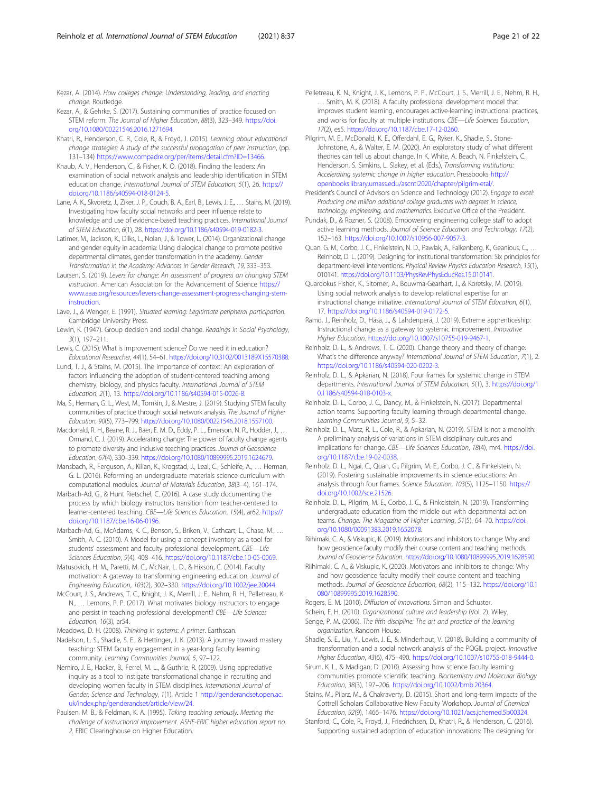<span id="page-20-0"></span>Kezar, A. (2014). How colleges change: Understanding, leading, and enacting change. Routledge.

- Kezar, A., & Gehrke, S. (2017). Sustaining communities of practice focused on STEM reform. The Journal of Higher Education, 88(3), 323–349. [https://doi.](https://doi.org/10.1080/00221546.2016.1271694) [org/10.1080/00221546.2016.1271694](https://doi.org/10.1080/00221546.2016.1271694).
- Khatri, R., Henderson, C. R., Cole, R., & Froyd, J. (2015). Learning about educational change strategies: A study of the successful propagation of peer instruction, (pp. 131–134) [https://www.compadre.org/per/items/detail.cfm?ID=13466.](https://www.compadre.org/per/items/detail.cfm?ID=13466)
- Knaub, A. V., Henderson, C., & Fisher, K. Q. (2018). Finding the leaders: An examination of social network analysis and leadership identification in STEM education change. International Journal of STEM Education, 5(1), 26. [https://](https://doi.org/10.1186/s40594-018-0124-5) [doi.org/10.1186/s40594-018-0124-5](https://doi.org/10.1186/s40594-018-0124-5).
- Lane, A. K., Skvoretz, J., Ziker, J. P., Couch, B. A., Earl, B., Lewis, J. E., … Stains, M. (2019). Investigating how faculty social networks and peer influence relate to knowledge and use of evidence-based teaching practices. International Journal of STEM Education, 6(1), 28. <https://doi.org/10.1186/s40594-019-0182-3>.
- Latimer, M., Jackson, K., Dilks, L., Nolan, J., & Tower, L. (2014). Organizational change and gender equity in academia: Using dialogical change to promote positive departmental climates, gender transformation in the academy. Gender Transformation in the Academy: Advances in Gender Research, 19, 333–353.
- Laursen, S. (2019). Levers for change: An assessment of progress on changing STEM instruction. American Association for the Advancement of Science [https://](https://www.aaas.org/resources/levers-change-assessment-progress-changing-stem-instruction) [www.aaas.org/resources/levers-change-assessment-progress-changing-stem](https://www.aaas.org/resources/levers-change-assessment-progress-changing-stem-instruction)[instruction.](https://www.aaas.org/resources/levers-change-assessment-progress-changing-stem-instruction)
- Lave, J., & Wenger, E. (1991). Situated learning: Legitimate peripheral participation. Cambridge University Press.
- Lewin, K. (1947). Group decision and social change. Readings in Social Psychology, 3(1), 197–211.
- Lewis, C. (2015). What is improvement science? Do we need it in education? Educational Researcher, 44(1), 54–61. [https://doi.org/10.3102/0013189X15570388.](https://doi.org/10.3102/0013189X15570388)
- Lund, T. J., & Stains, M. (2015). The importance of context: An exploration of factors influencing the adoption of student-centered teaching among chemistry, biology, and physics faculty. International Journal of STEM Education, 2(1), 13. [https://doi.org/10.1186/s40594-015-0026-8.](https://doi.org/10.1186/s40594-015-0026-8)
- Ma, S., Herman, G. L., West, M., Tomkin, J., & Mestre, J. (2019). Studying STEM faculty communities of practice through social network analysis. The Journal of Higher Education, 90(5), 773–799. <https://doi.org/10.1080/00221546.2018.1557100>.
- Macdonald, R. H., Beane, R. J., Baer, E. M. D., Eddy, P. L., Emerson, N. R., Hodder, J., … Ormand, C. J. (2019). Accelerating change: The power of faculty change agents to promote diversity and inclusive teaching practices. Journal of Geoscience Education, 67(4), 330–339. <https://doi.org/10.1080/10899995.2019.1624679>.
- Mansbach, R., Ferguson, A., Kilian, K., Krogstad, J., Leal, C., Schleife, A., … Herman, G. L. (2016). Reforming an undergraduate materials science curriculum with computational modules. Journal of Materials Education, 38(3–4), 161–174.
- Marbach-Ad, G., & Hunt Rietschel, C. (2016). A case study documenting the process by which biology instructors transition from teacher-centered to learner-centered teaching. CBE—Life Sciences Education, 15(4), ar62. [https://](https://doi.org/10.1187/cbe.16-06-0196) [doi.org/10.1187/cbe.16-06-0196](https://doi.org/10.1187/cbe.16-06-0196).
- Marbach-Ad, G., McAdams, K. C., Benson, S., Briken, V., Cathcart, L., Chase, M., … Smith, A. C. (2010). A Model for using a concept inventory as a tool for students' assessment and faculty professional development. CBE—Life Sciences Education, 9(4), 408–416. <https://doi.org/10.1187/cbe.10-05-0069>.
- Matusovich, H. M., Paretti, M. C., McNair, L. D., & Hixson, C. (2014). Faculty motivation: A gateway to transforming engineering education. Journal of Engineering Education, 103(2), 302–330. [https://doi.org/10.1002/jee.20044.](https://doi.org/10.1002/jee.20044)
- McCourt, J. S., Andrews, T. C., Knight, J. K., Merrill, J. E., Nehm, R. H., Pelletreau, K. N., … Lemons, P. P. (2017). What motivates biology instructors to engage and persist in teaching professional development? CBE-Life Sciences Education, 16(3), ar54.
- Meadows, D. H. (2008). Thinking in systems: A primer. Earthscan.
- Nadelson, L. S., Shadle, S. E., & Hettinger, J. K. (2013). A journey toward mastery teaching: STEM faculty engagement in a year-long faculty learning community. Learning Communities Journal, 5, 97–122.
- Nemiro, J. E., Hacker, B., Ferrel, M. L., & Guthrie, R. (2009). Using appreciative inquiry as a tool to instigate transformational change in recruiting and developing women faculty in STEM disciplines. International Journal of Gender, Science and Technology, 1(1), Article 1 [http://genderandset.open.ac.](http://genderandset.open.ac.uk/index.php/genderandset/article/view/24) [uk/index.php/genderandset/article/view/24](http://genderandset.open.ac.uk/index.php/genderandset/article/view/24).
- Paulsen, M. B., & Feldman, K. A. (1995). Taking teaching seriously: Meeting the challenge of instructional improvement. ASHE-ERIC higher education report no. 2. ERIC Clearinghouse on Higher Education.
- Pelletreau, K. N., Knight, J. K., Lemons, P. P., McCourt, J. S., Merrill, J. E., Nehm, R. H., … Smith, M. K. (2018). A faculty professional development model that improves student learning, encourages active-learning instructional practices, and works for faculty at multiple institutions. CBE-Life Sciences Education, 17(2), es5. [https://doi.org/10.1187/cbe.17-12-0260.](https://doi.org/10.1187/cbe.17-12-0260)
- Pilgrim, M. E., McDonald, K. E., Offerdahl, E. G., Ryker, K., Shadle, S., Stone-Johnstone, A., & Walter, E. M. (2020). An exploratory study of what different theories can tell us about change. In K. White, A. Beach, N. Finkelstein, C. Henderson, S. Simkins, L. Slakey, et al. (Eds.), Transforming institutions: Accelerating systemic change in higher education. Pressbooks [http://](http://openbooks.library.umass.edu/ascnti2020/chapter/pilgrim-etal/) [openbooks.library.umass.edu/ascnti2020/chapter/pilgrim-etal/.](http://openbooks.library.umass.edu/ascnti2020/chapter/pilgrim-etal/)
- President's Council of Advisors on Science and Technology (2012). Engage to excel: Producing one million additional college graduates with degrees in science, technology, engineering, and mathematics. Executive Office of the President.
- Pundak, D., & Rozner, S. (2008). Empowering engineering college staff to adopt active learning methods. Journal of Science Education and Technology, 17(2), 152–163. <https://doi.org/10.1007/s10956-007-9057-3>.
- Quan, G. M., Corbo, J. C., Finkelstein, N. D., Pawlak, A., Falkenberg, K., Geanious, C., … Reinholz, D. L. (2019). Designing for institutional transformation: Six principles for department-level interventions. Physical Review Physics Education Research, 15(1), 010141. [https://doi.org/10.1103/PhysRevPhysEducRes.15.010141.](https://doi.org/10.1103/PhysRevPhysEducRes.15.010141)
- Quardokus Fisher, K., Sitomer, A., Bouwma-Gearhart, J., & Koretsky, M. (2019). Using social network analysis to develop relational expertise for an instructional change initiative. International Journal of STEM Education, 6(1), 17. <https://doi.org/10.1186/s40594-019-0172-5>.
- Rämö, J., Reinholz, D., Häsä, J., & Lahdenperä, J. (2019). Extreme apprenticeship: Instructional change as a gateway to systemic improvement. Innovative Higher Education. [https://doi.org/10.1007/s10755-019-9467-1.](https://doi.org/10.1007/s10755-019-9467-1)
- Reinholz, D. L., & Andrews, T. C. (2020). Change theory and theory of change: What's the difference anyway? International Journal of STEM Education, 7(1), 2. <https://doi.org/10.1186/s40594-020-0202-3>.
- Reinholz, D. L., & Apkarian, N. (2018). Four frames for systemic change in STEM departments. International Journal of STEM Education, 5(1), 3. [https://doi.org/1](https://doi.org/10.1186/s40594-018-0103-x) [0.1186/s40594-018-0103-x](https://doi.org/10.1186/s40594-018-0103-x).
- Reinholz, D. L., Corbo, J. C., Dancy, M., & Finkelstein, N. (2017). Departmental action teams: Supporting faculty learning through departmental change. Learning Communities Journal, 9, 5–32.
- Reinholz, D. L., Matz, R. L., Cole, R., & Apkarian, N. (2019). STEM is not a monolith: A preliminary analysis of variations in STEM disciplinary cultures and implications for change. CBE—Life Sciences Education, 18(4), mr4. [https://doi.](https://doi.org/10.1187/cbe.19-02-0038) [org/10.1187/cbe.19-02-0038](https://doi.org/10.1187/cbe.19-02-0038).
- Reinholz, D. L., Ngai, C., Quan, G., Pilgrim, M. E., Corbo, J. C., & Finkelstein, N. (2019). Fostering sustainable improvements in science educations: An analysis through four frames. Science Education, 103(5), 1125–1150. [https://](https://doi.org/10.1002/sce.21526) [doi.org/10.1002/sce.21526.](https://doi.org/10.1002/sce.21526)
- Reinholz, D. L., Pilgrim, M. E., Corbo, J. C., & Finkelstein, N. (2019). Transforming undergraduate education from the middle out with departmental action teams. Change: The Magazine of Higher Learning, 51(5), 64–70. [https://doi.](https://doi.org/10.1080/00091383.2019.1652078) [org/10.1080/00091383.2019.1652078](https://doi.org/10.1080/00091383.2019.1652078).
- Riihimaki, C. A., & Viskupic, K. (2019). Motivators and inhibitors to change: Why and how geoscience faculty modify their course content and teaching methods. Journal of Geoscience Education. <https://doi.org/10.1080/10899995.2019.1628590>.
- Riihimaki, C. A., & Viskupic, K. (2020). Motivators and inhibitors to change: Why and how geoscience faculty modify their course content and teaching methods. Journal of Geoscience Education, 68(2), 115–132. [https://doi.org/10.1](https://doi.org/10.1080/10899995.2019.1628590) [080/10899995.2019.1628590.](https://doi.org/10.1080/10899995.2019.1628590)

Rogers, E. M. (2010). Diffusion of innovations. Simon and Schuster.

- Schein, E. H. (2010). Organizational culture and leadership (Vol. 2). Wiley.
- Senge, P. M. (2006). The fifth discipline: The art and practice of the learning organization. Random House.
- Shadle, S. E., Liu, Y., Lewis, J. E., & Minderhout, V. (2018). Building a community of transformation and a social network analysis of the POGIL project. Innovative Higher Education, 43(6), 475–490. <https://doi.org/10.1007/s10755-018-9444-0>.
- Sirum, K. L., & Madigan, D. (2010). Assessing how science faculty learning communities promote scientific teaching. Biochemistry and Molecular Biology Education, 38(3), 197–206. [https://doi.org/10.1002/bmb.20364.](https://doi.org/10.1002/bmb.20364)
- Stains, M., Pilarz, M., & Chakraverty, D. (2015). Short and long-term impacts of the Cottrell Scholars Collaborative New Faculty Workshop. Journal of Chemical Education, 92(9), 1466–1476. <https://doi.org/10.1021/acs.jchemed.5b00324>.
- Stanford, C., Cole, R., Froyd, J., Friedrichsen, D., Khatri, R., & Henderson, C. (2016). Supporting sustained adoption of education innovations: The designing for